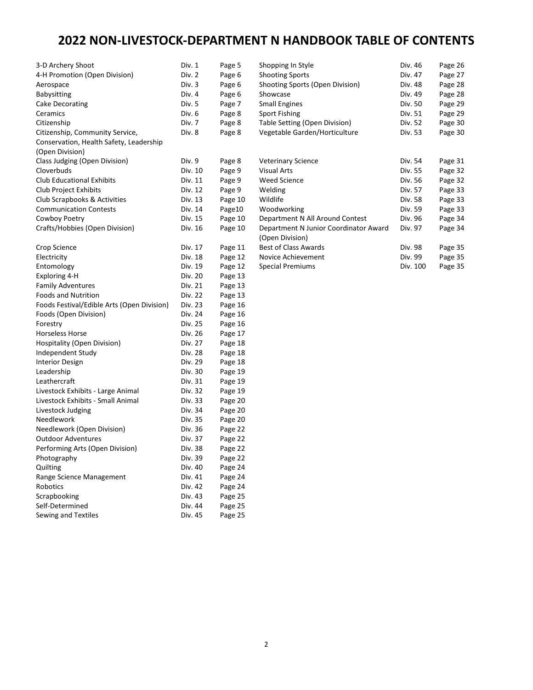# **2022 NON-LIVESTOCK-DEPARTMENT N HANDBOOK TABLE OF CONTENTS**

| 3-D Archery Shoot                          | Div. 1  | Page 5  | Shopping In Style                     | Div. 46  | Page 26 |
|--------------------------------------------|---------|---------|---------------------------------------|----------|---------|
| 4-H Promotion (Open Division)              | Div. 2  | Page 6  | <b>Shooting Sports</b>                | Div. 47  | Page 27 |
| Aerospace                                  | Div. 3  | Page 6  | Shooting Sports (Open Division)       | Div. 48  | Page 28 |
| <b>Babysitting</b>                         | Div. 4  | Page 6  | Showcase                              | Div. 49  | Page 28 |
| Cake Decorating                            | Div. 5  | Page 7  | <b>Small Engines</b>                  | Div. 50  | Page 29 |
| Ceramics                                   | Div. 6  | Page 8  | Sport Fishing                         | Div. 51  | Page 29 |
| Citizenship                                | Div. 7  | Page 8  | Table Setting (Open Division)         | Div. 52  | Page 30 |
| Citizenship, Community Service,            | Div. 8  | Page 8  | Vegetable Garden/Horticulture         | Div. 53  | Page 30 |
| Conservation, Health Safety, Leadership    |         |         |                                       |          |         |
| (Open Division)                            |         |         |                                       |          |         |
| Class Judging (Open Division)              | Div. 9  | Page 8  | <b>Veterinary Science</b>             | Div. 54  | Page 31 |
| Cloverbuds                                 | Div. 10 | Page 9  | <b>Visual Arts</b>                    | Div. 55  | Page 32 |
| <b>Club Educational Exhibits</b>           | Div. 11 | Page 9  | <b>Weed Science</b>                   | Div. 56  | Page 32 |
| Club Project Exhibits                      | Div. 12 | Page 9  | Welding                               | Div. 57  | Page 33 |
| Club Scrapbooks & Activities               | Div. 13 | Page 10 | Wildlife                              | Div. 58  | Page 33 |
| <b>Communication Contests</b>              | Div. 14 | Page10  | Woodworking                           | Div. 59  | Page 33 |
| Cowboy Poetry                              | Div. 15 | Page 10 | Department N All Around Contest       | Div. 96  | Page 34 |
| Crafts/Hobbies (Open Division)             | Div. 16 | Page 10 | Department N Junior Coordinator Award | Div. 97  | Page 34 |
|                                            |         |         | (Open Division)                       |          |         |
| Crop Science                               | Div. 17 | Page 11 | <b>Best of Class Awards</b>           | Div. 98  | Page 35 |
| Electricity                                | Div. 18 | Page 12 | Novice Achievement                    | Div. 99  | Page 35 |
| Entomology                                 | Div. 19 | Page 12 | <b>Special Premiums</b>               | Div. 100 | Page 35 |
| Exploring 4-H                              | Div. 20 | Page 13 |                                       |          |         |
| <b>Family Adventures</b>                   | Div. 21 | Page 13 |                                       |          |         |
| <b>Foods and Nutrition</b>                 | Div. 22 | Page 13 |                                       |          |         |
| Foods Festival/Edible Arts (Open Division) | Div. 23 | Page 16 |                                       |          |         |
| Foods (Open Division)                      | Div. 24 | Page 16 |                                       |          |         |
| Forestry                                   | Div. 25 | Page 16 |                                       |          |         |
| Horseless Horse                            | Div. 26 | Page 17 |                                       |          |         |
| Hospitality (Open Division)                | Div. 27 | Page 18 |                                       |          |         |
| Independent Study                          | Div. 28 | Page 18 |                                       |          |         |
| <b>Interior Design</b>                     | Div. 29 | Page 18 |                                       |          |         |
| Leadership                                 | Div. 30 | Page 19 |                                       |          |         |
| Leathercraft                               | Div. 31 | Page 19 |                                       |          |         |
| Livestock Exhibits - Large Animal          | Div. 32 | Page 19 |                                       |          |         |
| Livestock Exhibits - Small Animal          | Div. 33 | Page 20 |                                       |          |         |
| Livestock Judging                          | Div. 34 | Page 20 |                                       |          |         |
| Needlework                                 | Div. 35 | Page 20 |                                       |          |         |
| Needlework (Open Division)                 | Div. 36 | Page 22 |                                       |          |         |
| <b>Outdoor Adventures</b>                  | Div. 37 | Page 22 |                                       |          |         |
| Performing Arts (Open Division)            | Div. 38 | Page 22 |                                       |          |         |
| Photography                                | Div. 39 | Page 22 |                                       |          |         |
| Quilting                                   | Div. 40 | Page 24 |                                       |          |         |
| Range Science Management                   | Div. 41 | Page 24 |                                       |          |         |
| Robotics                                   | Div. 42 | Page 24 |                                       |          |         |
| Scrapbooking                               | Div. 43 | Page 25 |                                       |          |         |
| Self-Determined                            | Div. 44 | Page 25 |                                       |          |         |
| Sewing and Textiles                        | Div. 45 | Page 25 |                                       |          |         |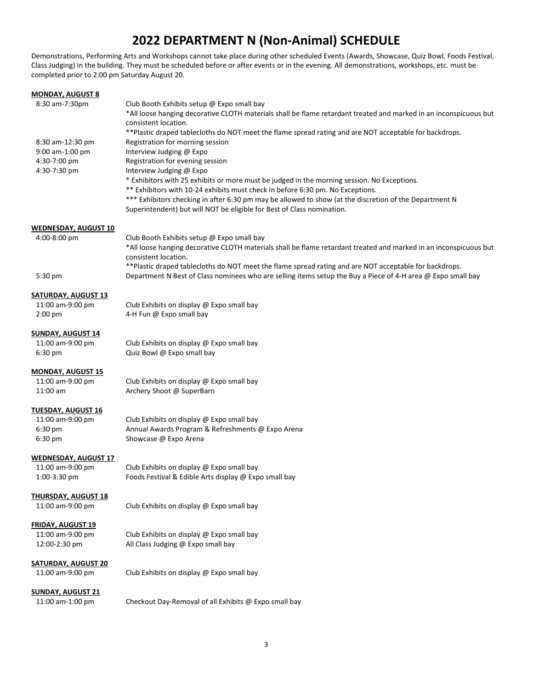# **2022 DEPARTMENT N (Non-Animal) SCHEDULE**

Demonstrations, Performing Arts and Workshops cannot take place during other scheduled Events (Awards, Showcase, Quiz Bowl, Foods Festival, Class Judging) in the building. They must be scheduled before or after events or in the evening. All demonstrations, workshops, etc. must be completed prior to 2:00 pm Saturday August 20.

| <b>MONDAY, AUGUST 8</b>                     |                                                                                                                                                                                                                                                                                                   |
|---------------------------------------------|---------------------------------------------------------------------------------------------------------------------------------------------------------------------------------------------------------------------------------------------------------------------------------------------------|
| 8:30 am-7:30pm                              | Club Booth Exhibits setup @ Expo small bay<br>*All loose hanging decorative CLOTH materials shall be flame retardant treated and marked in an inconspicuous but<br>consistent location.<br>**Plastic draped tablecloths do NOT meet the flame spread rating and are NOT acceptable for backdrops. |
| 8:30 am-12:30 pm                            | Registration for morning session                                                                                                                                                                                                                                                                  |
| 9:00 am-1:00 pm                             | Interview Judging @ Expo                                                                                                                                                                                                                                                                          |
| 4:30-7:00 pm                                | Registration for evening session                                                                                                                                                                                                                                                                  |
| 4:30-7:30 pm                                | Interview Judging @ Expo<br>* Exhibitors with 25 exhibits or more must be judged in the morning session. No Exceptions.                                                                                                                                                                           |
|                                             | ** Exhibitors with 10-24 exhibits must check in before 6:30 pm. No Exceptions.                                                                                                                                                                                                                    |
|                                             | *** Exhibitors checking in after 6:30 pm may be allowed to show (at the discretion of the Department N<br>Superintendent) but will NOT be eligible for Best of Class nomination.                                                                                                                  |
|                                             |                                                                                                                                                                                                                                                                                                   |
| <b>WEDNESDAY, AUGUST 10</b><br>4:00-8:00 pm | Club Booth Exhibits setup @ Expo small bay                                                                                                                                                                                                                                                        |
|                                             | *All loose hanging decorative CLOTH materials shall be flame retardant treated and marked in an inconspicuous but<br>consistent location.                                                                                                                                                         |
| $5:30 \text{ pm}$                           | ** Plastic draped tablecloths do NOT meet the flame spread rating and are NOT acceptable for backdrops.<br>Department N Best of Class nominees who are selling items setup the Buy a Piece of 4-H area @ Expo small bay                                                                           |
| <b>SATURDAY, AUGUST 13</b>                  |                                                                                                                                                                                                                                                                                                   |
| 11:00 am-9:00 pm                            | Club Exhibits on display @ Expo small bay                                                                                                                                                                                                                                                         |
| 2:00 pm                                     | 4-H Fun @ Expo small bay                                                                                                                                                                                                                                                                          |
| <b>SUNDAY, AUGUST 14</b>                    |                                                                                                                                                                                                                                                                                                   |
| 11:00 am-9:00 pm                            | Club Exhibits on display @ Expo small bay                                                                                                                                                                                                                                                         |
| 6:30 pm                                     | Quiz Bowl @ Expo small bay                                                                                                                                                                                                                                                                        |
| <b>MONDAY, AUGUST 15</b>                    |                                                                                                                                                                                                                                                                                                   |
| 11:00 am-9:00 pm                            | Club Exhibits on display @ Expo small bay                                                                                                                                                                                                                                                         |
| 11:00 am                                    | Archery Shoot @ SuperBarn                                                                                                                                                                                                                                                                         |
| <b>TUESDAY, AUGUST 16</b>                   |                                                                                                                                                                                                                                                                                                   |
| 11:00 am-9:00 pm                            | Club Exhibits on display @ Expo small bay                                                                                                                                                                                                                                                         |
| 6:30 pm                                     | Annual Awards Program & Refreshments @ Expo Arena                                                                                                                                                                                                                                                 |
| 6:30 pm                                     | Showcase @ Expo Arena                                                                                                                                                                                                                                                                             |
| <b>WEDNESDAY, AUGUST 17</b>                 |                                                                                                                                                                                                                                                                                                   |
| 11:00 am-9:00 pm                            | Club Exhibits on display @ Expo small bay                                                                                                                                                                                                                                                         |
| 1:00-3:30 pm                                | Foods Festival & Edible Arts display @ Expo small bay                                                                                                                                                                                                                                             |
| <b>THURSDAY, AUGUST 18</b>                  |                                                                                                                                                                                                                                                                                                   |
| 11:00 am-9:00 pm                            | Club Exhibits on display @ Expo small bay                                                                                                                                                                                                                                                         |
| <b>FRIDAY, AUGUST 19</b>                    |                                                                                                                                                                                                                                                                                                   |
| 11:00 am-9:00 pm                            | Club Exhibits on display @ Expo small bay                                                                                                                                                                                                                                                         |
| 12:00-2:30 pm                               | All Class Judging @ Expo small bay                                                                                                                                                                                                                                                                |
| <b>SATURDAY, AUGUST 20</b>                  |                                                                                                                                                                                                                                                                                                   |
| 11:00 am-9:00 pm                            | Club Exhibits on display @ Expo small bay                                                                                                                                                                                                                                                         |
| <b>SUNDAY, AUGUST 21</b>                    |                                                                                                                                                                                                                                                                                                   |
| 11:00 am-1:00 pm                            | Checkout Day-Removal of all Exhibits @ Expo small bay                                                                                                                                                                                                                                             |
|                                             |                                                                                                                                                                                                                                                                                                   |
|                                             |                                                                                                                                                                                                                                                                                                   |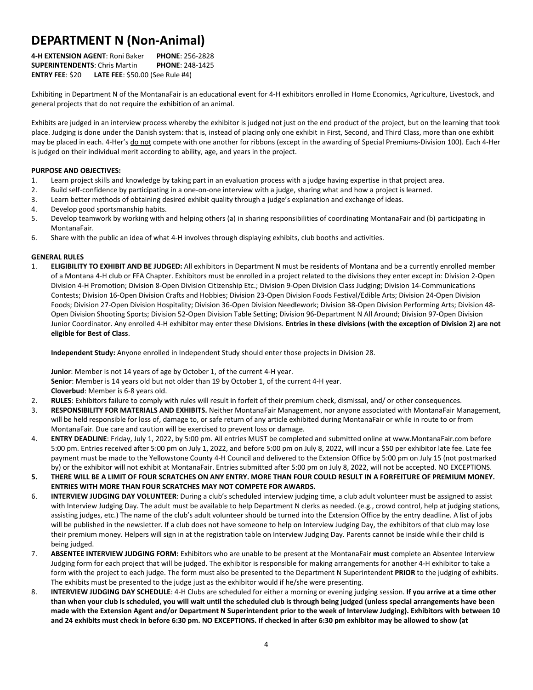# **DEPARTMENT N (Non-Animal)**

**4-H EXTENSION AGENT**: Roni Baker **PHONE**: 256-2828 **SUPERINTENDENTS**: Chris Martin **PHONE**: 248-1425 **ENTRY FEE**: \$20 **LATE FEE**: \$50.00 (See Rule #4)

Exhibiting in Department N of the MontanaFair is an educational event for 4-H exhibitors enrolled in Home Economics, Agriculture, Livestock, and general projects that do not require the exhibition of an animal.

Exhibits are judged in an interview process whereby the exhibitor is judged not just on the end product of the project, but on the learning that took place. Judging is done under the Danish system: that is, instead of placing only one exhibit in First, Second, and Third Class, more than one exhibit may be placed in each. 4-Her's do not compete with one another for ribbons (except in the awarding of Special Premiums-Division 100). Each 4-Her is judged on their individual merit according to ability, age, and years in the project.

#### **PURPOSE AND OBJECTIVES:**

- 1. Learn project skills and knowledge by taking part in an evaluation process with a judge having expertise in that project area.
- 2. Build self-confidence by participating in a one-on-one interview with a judge, sharing what and how a project is learned.
- 3. Learn better methods of obtaining desired exhibit quality through a judge's explanation and exchange of ideas.
- 4. Develop good sportsmanship habits.
- 5. Develop teamwork by working with and helping others (a) in sharing responsibilities of coordinating MontanaFair and (b) participating in MontanaFair.
- 6. Share with the public an idea of what 4-H involves through displaying exhibits, club booths and activities.

#### **GENERAL RULES**

1. **ELIGIBILITY TO EXHIBIT AND BE JUDGED:** All exhibitors in Department N must be residents of Montana and be a currently enrolled member of a Montana 4-H club or FFA Chapter. Exhibitors must be enrolled in a project related to the divisions they enter except in: Division 2-Open Division 4-H Promotion; Division 8-Open Division Citizenship Etc.; Division 9-Open Division Class Judging; Division 14-Communications Contests; Division 16-Open Division Crafts and Hobbies; Division 23-Open Division Foods Festival/Edible Arts; Division 24-Open Division Foods; Division 27-Open Division Hospitality; Division 36-Open Division Needlework; Division 38-Open Division Performing Arts; Division 48- Open Division Shooting Sports; Division 52-Open Division Table Setting; Division 96-Department N All Around; Division 97-Open Division Junior Coordinator. Any enrolled 4-H exhibitor may enter these Divisions. **Entries in these divisions (with the exception of Division 2) are not eligible for Best of Class**.

**Independent Study:** Anyone enrolled in Independent Study should enter those projects in Division 28.

**Junior**: Member is not 14 years of age by October 1, of the current 4-H year.

**Senior**: Member is 14 years old but not older than 19 by October 1, of the current 4-H year.

**Cloverbud**: Member is 6-8 years old.

- 2. **RULES**: Exhibitors failure to comply with rules will result in forfeit of their premium check, dismissal, and/ or other consequences.
- 3. **RESPONSIBILITY FOR MATERIALS AND EXHIBITS.** Neither MontanaFair Management, nor anyone associated with MontanaFair Management, will be held responsible for loss of, damage to, or safe return of any article exhibited during MontanaFair or while in route to or from MontanaFair. Due care and caution will be exercised to prevent loss or damage.
- 4. **ENTRY DEADLINE**: Friday, July 1, 2022, by 5:00 pm. All entries MUST be completed and submitted online at www.MontanaFair.com before 5:00 pm. Entries received after 5:00 pm on July 1, 2022, and before 5:00 pm on July 8, 2022, will incur a \$50 per exhibitor late fee. Late fee payment must be made to the Yellowstone County 4-H Council and delivered to the Extension Office by 5:00 pm on July 15 (not postmarked by) or the exhibitor will not exhibit at MontanaFair. Entries submitted after 5:00 pm on July 8, 2022, will not be accepted. NO EXCEPTIONS.
- **5. THERE WILL BE A LIMIT OF FOUR SCRATCHES ON ANY ENTRY. MORE THAN FOUR COULD RESULT IN A FORFEITURE OF PREMIUM MONEY. ENTRIES WITH MORE THAN FOUR SCRATCHES MAY NOT COMPETE FOR AWARDS.**
- 6. **INTERVIEW JUDGING DAY VOLUNTEER**: During a club's scheduled interview judging time, a club adult volunteer must be assigned to assist with Interview Judging Day. The adult must be available to help Department N clerks as needed. (e.g., crowd control, help at judging stations, assisting judges, etc.) The name of the club's adult volunteer should be turned into the Extension Office by the entry deadline. A list of jobs will be published in the newsletter. If a club does not have someone to help on Interview Judging Day, the exhibitors of that club may lose their premium money. Helpers will sign in at the registration table on Interview Judging Day. Parents cannot be inside while their child is being judged.
- 7. **ABSENTEE INTERVIEW JUDGING FORM:** Exhibitors who are unable to be present at the MontanaFair **must** complete an Absentee Interview Judging form for each project that will be judged. The exhibitor is responsible for making arrangements for another 4-H exhibitor to take a form with the project to each judge. The form must also be presented to the Department N Superintendent **PRIOR** to the judging of exhibits. The exhibits must be presented to the judge just as the exhibitor would if he/she were presenting.
- 8. **INTERVIEW JUDGING DAY SCHEDULE**: 4-H Clubs are scheduled for either a morning or evening judging session. **If you arrive at a time other than when your club is scheduled, you will wait until the scheduled club is through being judged (unless special arrangements have been made with the Extension Agent and/or Department N Superintendent prior to the week of Interview Judging). Exhibitors with between 10 and 24 exhibits must check in before 6:30 pm. NO EXCEPTIONS. If checked in after 6:30 pm exhibitor may be allowed to show (at**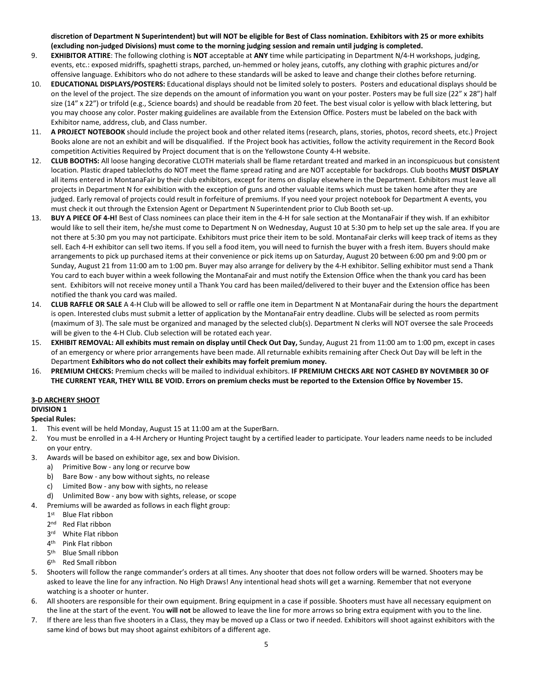**discretion of Department N Superintendent) but will NOT be eligible for Best of Class nomination. Exhibitors with 25 or more exhibits (excluding non-judged Divisions) must come to the morning judging session and remain until judging is completed.**

- 9. **EXHIBITOR ATTIRE**: The following clothing is **NOT** acceptable at **ANY** time while participating in Department N/4-H workshops, judging, events, etc.: exposed midriffs, spaghetti straps, parched, un-hemmed or holey jeans, cutoffs, any clothing with graphic pictures and/or offensive language. Exhibitors who do not adhere to these standards will be asked to leave and change their clothes before returning.
- 10. **EDUCATIONAL DISPLAYS/POSTERS:** Educational displays should not be limited solely to posters. Posters and educational displays should be on the level of the project. The size depends on the amount of information you want on your poster. Posters may be full size (22" x 28") half size (14" x 22") or trifold (e.g., Science boards) and should be readable from 20 feet. The best visual color is yellow with black lettering, but you may choose any color. Poster making guidelines are available from the Extension Office. Posters must be labeled on the back with Exhibitor name, address, club, and Class number.
- 11. **A PROJECT NOTEBOOK** should include the project book and other related items (research, plans, stories, photos, record sheets, etc.) Project Books alone are not an exhibit and will be disqualified. If the Project book has activities, follow the activity requirement in the Record Book competition Activities Required by Project document that is on the Yellowstone County 4-H website.
- 12. **CLUB BOOTHS:** All loose hanging decorative CLOTH materials shall be flame retardant treated and marked in an inconspicuous but consistent location. Plastic draped tablecloths do NOT meet the flame spread rating and are NOT acceptable for backdrops. Club booths **MUST DISPLAY** all items entered in MontanaFair by their club exhibitors, except for items on display elsewhere in the Department. Exhibitors must leave all projects in Department N for exhibition with the exception of guns and other valuable items which must be taken home after they are judged. Early removal of projects could result in forfeiture of premiums. If you need your project notebook for Department A events, you must check it out through the Extension Agent or Department N Superintendent prior to Club Booth set-up.
- 13. **BUY A PIECE OF 4-H!** Best of Class nominees can place their item in the 4-H for sale section at the MontanaFair if they wish. If an exhibitor would like to sell their item, he/she must come to Department N on Wednesday, August 10 at 5:30 pm to help set up the sale area. If you are not there at 5:30 pm you may not participate. Exhibitors must price their item to be sold. MontanaFair clerks will keep track of items as they sell. Each 4-H exhibitor can sell two items. If you sell a food item, you will need to furnish the buyer with a fresh item. Buyers should make arrangements to pick up purchased items at their convenience or pick items up on Saturday, August 20 between 6:00 pm and 9:00 pm or Sunday, August 21 from 11:00 am to 1:00 pm. Buyer may also arrange for delivery by the 4-H exhibitor. Selling exhibitor must send a Thank You card to each buyer within a week following the MontanaFair and must notify the Extension Office when the thank you card has been sent. Exhibitors will not receive money until a Thank You card has been mailed/delivered to their buyer and the Extension office has been notified the thank you card was mailed.
- 14. **CLUB RAFFLE OR SALE** A 4-H Club will be allowed to sell or raffle one item in Department N at MontanaFair during the hours the department is open. Interested clubs must submit a letter of application by the MontanaFair entry deadline. Clubs will be selected as room permits (maximum of 3). The sale must be organized and managed by the selected club(s). Department N clerks will NOT oversee the sale Proceeds will be given to the 4-H Club. Club selection will be rotated each year.
- 15. **EXHIBIT REMOVAL: All exhibits must remain on display until Check Out Day,** Sunday, August 21 from 11:00 am to 1:00 pm, except in cases of an emergency or where prior arrangements have been made. All returnable exhibits remaining after Check Out Day will be left in the Department **Exhibitors who do not collect their exhibits may forfeit premium money.**
- 16. **PREMIUM CHECKS:** Premium checks will be mailed to individual exhibitors. **IF PREMIUM CHECKS ARE NOT CASHED BY NOVEMBER 30 OF THE CURRENT YEAR, THEY WILL BE VOID. Errors on premium checks must be reported to the Extension Office by November 15.**

#### **3-D ARCHERY SHOOT**

#### **DIVISION 1**

#### **Special Rules:**

- 1. This event will be held Monday, August 15 at 11:00 am at the SuperBarn.
- 2. You must be enrolled in a 4-H Archery or Hunting Project taught by a certified leader to participate. Your leaders name needs to be included on your entry.
- 3. Awards will be based on exhibitor age, sex and bow Division.
	- a) Primitive Bow any long or recurve bow
	- b) Bare Bow any bow without sights, no release
	- c) Limited Bow any bow with sights, no release
	- d) Unlimited Bow any bow with sights, release, or scope
- 4. Premiums will be awarded as follows in each flight group:
	- 1<sup>st</sup> Blue Flat ribbon
	- 2<sup>nd</sup> Red Flat ribbon
	- 3rd White Flat ribbon
	- 4th Pink Flat ribbon
	- 5<sup>th</sup> Blue Small ribbon
	- 6th Red Small ribbon
- 5. Shooters will follow the range commander's orders at all times. Any shooter that does not follow orders will be warned. Shooters may be asked to leave the line for any infraction. No High Draws! Any intentional head shots will get a warning. Remember that not everyone watching is a shooter or hunter.
- 6. All shooters are responsible for their own equipment. Bring equipment in a case if possible. Shooters must have all necessary equipment on the line at the start of the event. You **will not** be allowed to leave the line for more arrows so bring extra equipment with you to the line.
- 7. If there are less than five shooters in a Class, they may be moved up a Class or two if needed. Exhibitors will shoot against exhibitors with the same kind of bows but may shoot against exhibitors of a different age.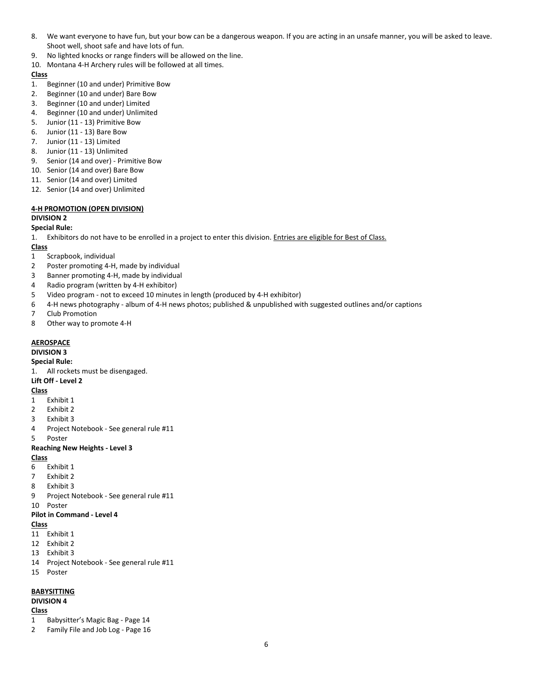- 8. We want everyone to have fun, but your bow can be a dangerous weapon. If you are acting in an unsafe manner, you will be asked to leave. Shoot well, shoot safe and have lots of fun.
- 9. No lighted knocks or range finders will be allowed on the line.
- 10. Montana 4-H Archery rules will be followed at all times.

- 1. Beginner (10 and under) Primitive Bow
- 2. Beginner (10 and under) Bare Bow
- 3. Beginner (10 and under) Limited
- 4. Beginner (10 and under) Unlimited
- 5. Junior (11 13) Primitive Bow
- 6. Junior (11 13) Bare Bow
- 7. Junior (11 13) Limited
- 8. Junior (11 13) Unlimited
- 9. Senior (14 and over) Primitive Bow
- 10. Senior (14 and over) Bare Bow
- 11. Senior (14 and over) Limited
- 12. Senior (14 and over) Unlimited

## **4-H PROMOTION (OPEN DIVISION)**

## **DIVISION 2**

**Special Rule:**

1. Exhibitors do not have to be enrolled in a project to enter this division. Entries are eligible for Best of Class.

## **Class**

- 1 Scrapbook, individual
- 2 Poster promoting 4-H, made by individual
- 3 Banner promoting 4-H, made by individual
- 4 Radio program (written by 4-H exhibitor)
- 5 Video program not to exceed 10 minutes in length (produced by 4-H exhibitor)
- 6 4-H news photography album of 4-H news photos; published & unpublished with suggested outlines and/or captions
- 7 Club Promotion
- 8 Other way to promote 4-H

#### **AEROSPACE**

**DIVISION 3**

**Special Rule:**

1. All rockets must be disengaged.

#### **Lift Off - Level 2**

**Class**

- 1 Exhibit 1
- 2 Exhibit 2
- 3 Exhibit 3
- 4 Project Notebook See general rule #11
- 5 Poster

#### **Reaching New Heights - Level 3**

#### **Class**

- 6 Exhibit 1
- 7 Exhibit 2
- 8 Exhibit 3
- 9 Project Notebook See general rule #11

10 Poster

### **Pilot in Command - Level 4**

#### **Class**

- 11 Exhibit 1
- 12 Exhibit 2
- 13 Exhibit 3
- 14 Project Notebook See general rule #11
- 15 Poster

#### **BABYSITTING**

#### **DIVISION 4**

- 1 Babysitter's Magic Bag Page 14
- 2 Family File and Job Log Page 16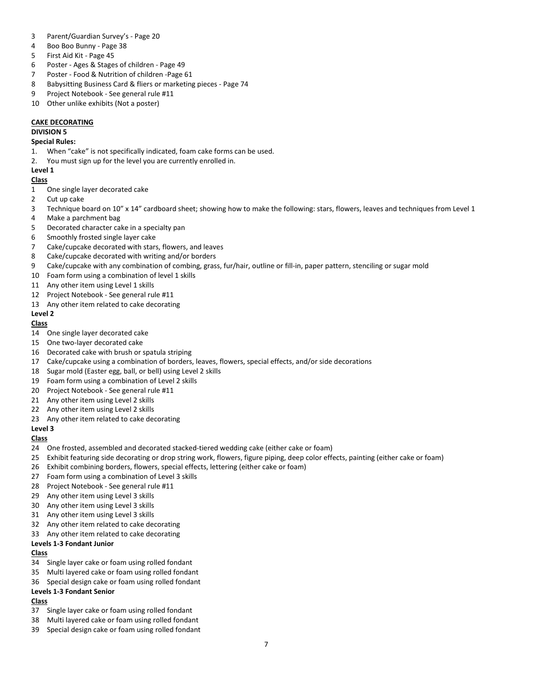- Parent/Guardian Survey's Page 20
- Boo Boo Bunny Page 38
- First Aid Kit Page 45
- Poster Ages & Stages of children Page 49
- Poster Food & Nutrition of children -Page 61
- Babysitting Business Card & fliers or marketing pieces Page 74
- Project Notebook See general rule #11
- Other unlike exhibits (Not a poster)

## **CAKE DECORATING**

## **DIVISION 5**

### **Special Rules:**

- 1. When "cake" is not specifically indicated, foam cake forms can be used.
- 2. You must sign up for the level you are currently enrolled in.

## **Level 1**

## **Class**

- One single layer decorated cake
- Cut up cake
- Technique board on 10" x 14" cardboard sheet; showing how to make the following: stars, flowers, leaves and techniques from Level 1
- Make a parchment bag
- Decorated character cake in a specialty pan
- Smoothly frosted single layer cake
- Cake/cupcake decorated with stars, flowers, and leaves
- Cake/cupcake decorated with writing and/or borders
- Cake/cupcake with any combination of combing, grass, fur/hair, outline or fill-in, paper pattern, stenciling or sugar mold
- Foam form using a combination of level 1 skills
- 11 Any other item using Level 1 skills
- Project Notebook See general rule #11
- Any other item related to cake decorating

## **Level 2**

## **Class**

- One single layer decorated cake
- One two-layer decorated cake
- Decorated cake with brush or spatula striping
- Cake/cupcake using a combination of borders, leaves, flowers, special effects, and/or side decorations
- Sugar mold (Easter egg, ball, or bell) using Level 2 skills
- Foam form using a combination of Level 2 skills
- Project Notebook See general rule #11
- Any other item using Level 2 skills
- Any other item using Level 2 skills
- Any other item related to cake decorating

## **Level 3**

## **Class**

- One frosted, assembled and decorated stacked-tiered wedding cake (either cake or foam)
- Exhibit featuring side decorating or drop string work, flowers, figure piping, deep color effects, painting (either cake or foam)
- Exhibit combining borders, flowers, special effects, lettering (either cake or foam)
- Foam form using a combination of Level 3 skills
- Project Notebook See general rule #11
- Any other item using Level 3 skills
- Any other item using Level 3 skills
- Any other item using Level 3 skills
- Any other item related to cake decorating
- Any other item related to cake decorating

## **Levels 1-3 Fondant Junior**

## **Class**

- Single layer cake or foam using rolled fondant
- Multi layered cake or foam using rolled fondant
- Special design cake or foam using rolled fondant

## **Levels 1-3 Fondant Senior**

- Single layer cake or foam using rolled fondant
- Multi layered cake or foam using rolled fondant
- Special design cake or foam using rolled fondant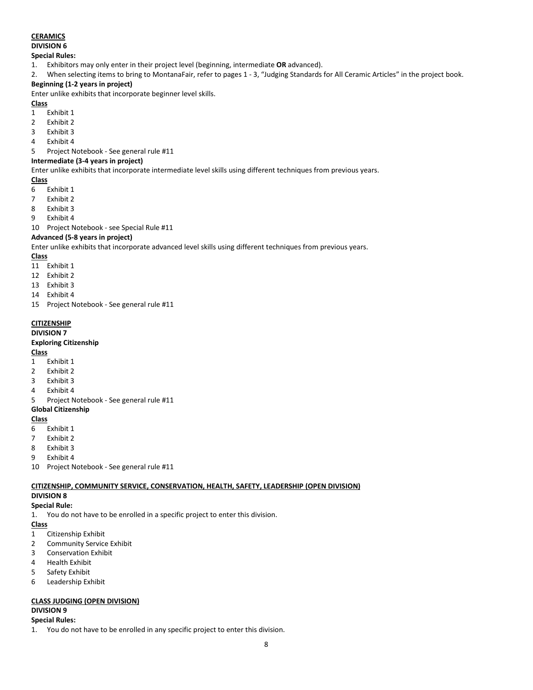## **CERAMICS**

## **DIVISION 6**

#### **Special Rules:**

- 1. Exhibitors may only enter in their project level (beginning, intermediate **OR** advanced).
- 2. When selecting items to bring to MontanaFair, refer to pages 1 3, "Judging Standards for All Ceramic Articles" in the project book.

## **Beginning (1-2 years in project)**

Enter unlike exhibits that incorporate beginner level skills.

## **Class**

- 1 Exhibit 1
- 2 Exhibit 2
- 3 Exhibit 3
- 4 Exhibit 4
- 5 Project Notebook See general rule #11

### **Intermediate (3-4 years in project)**

Enter unlike exhibits that incorporate intermediate level skills using different techniques from previous years.

#### **Class**

- 6 Exhibit 1
- 7 Exhibit 2
- 8 Exhibit 3
- 9 Exhibit 4

10 Project Notebook - see Special Rule #11

#### **Advanced (5-8 years in project)**

Enter unlike exhibits that incorporate advanced level skills using different techniques from previous years.

#### **Class**

- 11 Exhibit 1
- 12 Exhibit 2
- 13 Exhibit 3
- 14 Exhibit 4
- 15 Project Notebook See general rule #11

## **CITIZENSHIP**

## **DIVISION 7**

## **Exploring Citizenship**

## **Class**

- 1 Exhibit 1
- 2 Exhibit 2
- 3 Exhibit 3
- 4 Exhibit 4
- 5 Project Notebook See general rule #11

## **Global Citizenship**

## **Class**

- 6 Exhibit 1
- 7 Exhibit 2
- 8 Exhibit 3
- 9 Exhibit 4
- 10 Project Notebook See general rule #11

## **CITIZENSHIP, COMMUNITY SERVICE, CONSERVATION, HEALTH, SAFETY, LEADERSHIP (OPEN DIVISION)**

#### **DIVISION 8 Special Rule:**

1. You do not have to be enrolled in a specific project to enter this division.

## **Class**

- 1 Citizenship Exhibit
- 2 Community Service Exhibit
- 3 Conservation Exhibit
- 4 Health Exhibit
- 5 Safety Exhibit
- 6 Leadership Exhibit

## **CLASS JUDGING (OPEN DIVISION)**

## **DIVISION 9**

## **Special Rules:**

1. You do not have to be enrolled in any specific project to enter this division.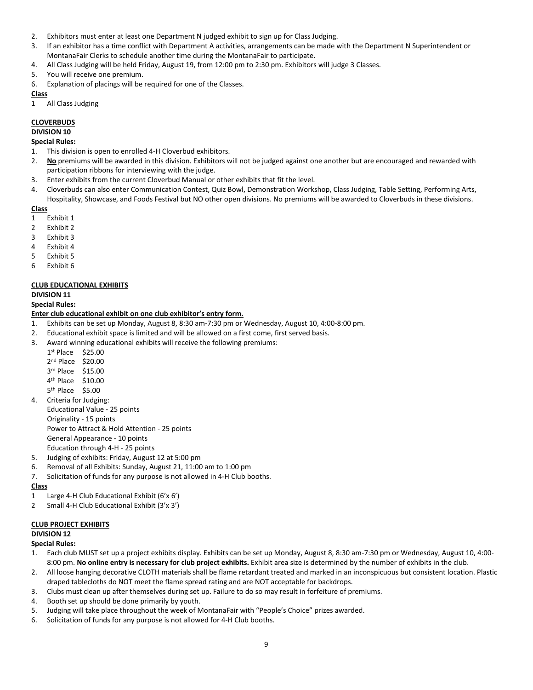- 2. Exhibitors must enter at least one Department N judged exhibit to sign up for Class Judging.
- 3. If an exhibitor has a time conflict with Department A activities, arrangements can be made with the Department N Superintendent or MontanaFair Clerks to schedule another time during the MontanaFair to participate.
- 4. All Class Judging will be held Friday, August 19, from 12:00 pm to 2:30 pm. Exhibitors will judge 3 Classes.
- 5. You will receive one premium.
- 6. Explanation of placings will be required for one of the Classes.

1 All Class Judging

#### **CLOVERBUDS**

#### **DIVISION 10**

#### **Special Rules:**

- 1. This division is open to enrolled 4-H Cloverbud exhibitors.
- 2. **No** premiums will be awarded in this division. Exhibitors will not be judged against one another but are encouraged and rewarded with participation ribbons for interviewing with the judge.
- 3. Enter exhibits from the current Cloverbud Manual or other exhibits that fit the level.
- 4. Cloverbuds can also enter Communication Contest, Quiz Bowl, Demonstration Workshop, Class Judging, Table Setting, Performing Arts, Hospitality, Showcase, and Foods Festival but NO other open divisions. No premiums will be awarded to Cloverbuds in these divisions.

#### **Class**

- 1 Exhibit 1
- 2 Exhibit 2
- 3 Exhibit 3
- 4 Exhibit 4
- 5 Exhibit 5
- 6 Exhibit 6

#### **CLUB EDUCATIONAL EXHIBITS**

#### **DIVISION 11**

**Special Rules:**

#### **Enter club educational exhibit on one club exhibitor's entry form.**

- 1. Exhibits can be set up Monday, August 8, 8:30 am-7:30 pm or Wednesday, August 10, 4:00-8:00 pm.
- 2. Educational exhibit space is limited and will be allowed on a first come, first served basis.
- 3. Award winning educational exhibits will receive the following premiums:
	- 1st Place \$25.00
	- 2nd Place \$20.00
	- 3rd Place \$15.00
	- 4th Place \$10.00
	- 5th Place \$5.00
- 4. Criteria for Judging:

Educational Value - 25 points

- Originality 15 points Power to Attract & Hold Attention - 25 points General Appearance - 10 points
- Education through 4-H 25 points
- 5. Judging of exhibits: Friday, August 12 at 5:00 pm
- 6. Removal of all Exhibits: Sunday, August 21, 11:00 am to 1:00 pm
- 7. Solicitation of funds for any purpose is not allowed in 4-H Club booths.

### **Class**

- 1 Large 4-H Club Educational Exhibit (6'x 6')
- 2 Small 4-H Club Educational Exhibit (3'x 3')

#### **CLUB PROJECT EXHIBITS**

## **DIVISION 12**

#### **Special Rules:**

- 1. Each club MUST set up a project exhibits display. Exhibits can be set up Monday, August 8, 8:30 am-7:30 pm or Wednesday, August 10, 4:00- 8:00 pm. **No online entry is necessary for club project exhibits.** Exhibit area size is determined by the number of exhibits in the club.
- 2. All loose hanging decorative CLOTH materials shall be flame retardant treated and marked in an inconspicuous but consistent location. Plastic draped tablecloths do NOT meet the flame spread rating and are NOT acceptable for backdrops.
- 3. Clubs must clean up after themselves during set up. Failure to do so may result in forfeiture of premiums.
- 4. Booth set up should be done primarily by youth.
- 5. Judging will take place throughout the week of MontanaFair with "People's Choice" prizes awarded.
- 6. Solicitation of funds for any purpose is not allowed for 4-H Club booths.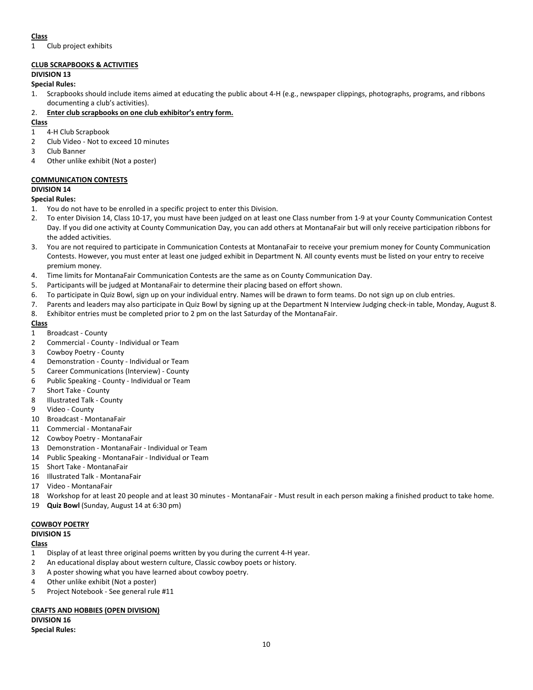1 Club project exhibits

## **CLUB SCRAPBOOKS & ACTIVITIES**

## **DIVISION 13**

## **Special Rules:**

1. Scrapbooks should include items aimed at educating the public about 4-H (e.g., newspaper clippings, photographs, programs, and ribbons documenting a club's activities).

## 2. **Enter club scrapbooks on one club exhibitor's entry form.**

## **Class**

- 1 4-H Club Scrapbook
- 2 Club Video Not to exceed 10 minutes
- 3 Club Banner
- 4 Other unlike exhibit (Not a poster)

## **COMMUNICATION CONTESTS**

## **DIVISION 14**

#### **Special Rules:**

- 1. You do not have to be enrolled in a specific project to enter this Division.
- 2. To enter Division 14, Class 10-17, you must have been judged on at least one Class number from 1-9 at your County Communication Contest Day. If you did one activity at County Communication Day, you can add others at MontanaFair but will only receive participation ribbons for the added activities.
- 3. You are not required to participate in Communication Contests at MontanaFair to receive your premium money for County Communication Contests. However, you must enter at least one judged exhibit in Department N. All county events must be listed on your entry to receive premium money.
- 4. Time limits for MontanaFair Communication Contests are the same as on County Communication Day.
- 5. Participants will be judged at MontanaFair to determine their placing based on effort shown.
- 6. To participate in Quiz Bowl, sign up on your individual entry. Names will be drawn to form teams. Do not sign up on club entries.
- 7. Parents and leaders may also participate in Quiz Bowl by signing up at the Department N Interview Judging check-in table, Monday, August 8.
- 8. Exhibitor entries must be completed prior to 2 pm on the last Saturday of the MontanaFair.

## **Class**

- 1 Broadcast County
- 2 Commercial County Individual or Team
- 3 Cowboy Poetry County
- 4 Demonstration County Individual or Team
- 5 Career Communications (Interview) County
- 6 Public Speaking County Individual or Team
- 7 Short Take County
- 8 Illustrated Talk County
- 9 Video County
- 10 Broadcast MontanaFair
- 11 Commercial MontanaFair
- 12 Cowboy Poetry MontanaFair
- 13 Demonstration MontanaFair Individual or Team
- 14 Public Speaking MontanaFair Individual or Team
- 15 Short Take MontanaFair
- 16 Illustrated Talk MontanaFair
- 17 Video MontanaFair
- 18 Workshop for at least 20 people and at least 30 minutes MontanaFair Must result in each person making a finished product to take home.
- 19 **Quiz Bowl** (Sunday, August 14 at 6:30 pm)

## **COWBOY POETRY**

**DIVISION 15**

## **Class**

- 1 Display of at least three original poems written by you during the current 4-H year.
- 2 An educational display about western culture, Classic cowboy poets or history.
- 3 A poster showing what you have learned about cowboy poetry.
- 4 Other unlike exhibit (Not a poster)
- 5 Project Notebook See general rule #11

#### **CRAFTS AND HOBBIES (OPEN DIVISION)**

**DIVISION 16 Special Rules:**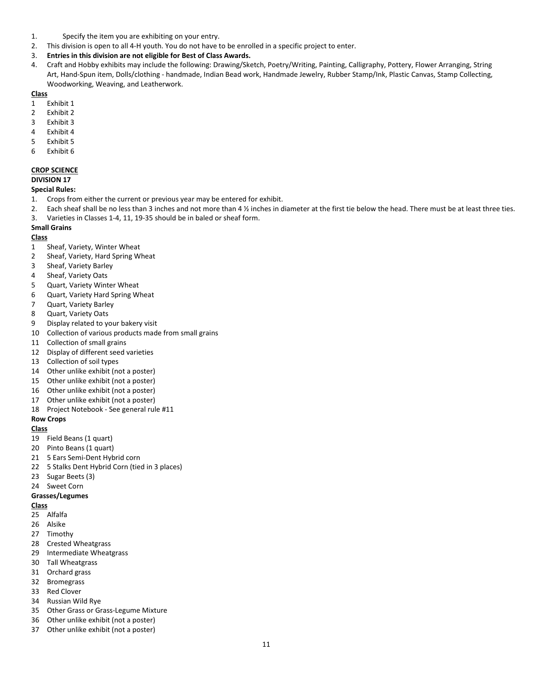- 1. Specify the item you are exhibiting on your entry.
- 2. This division is open to all 4-H youth. You do not have to be enrolled in a specific project to enter.
- 3. **Entries in this division are not eligible for Best of Class Awards.**
- 4. Craft and Hobby exhibits may include the following: Drawing/Sketch, Poetry/Writing, Painting, Calligraphy, Pottery, Flower Arranging, String Art, Hand-Spun item, Dolls/clothing - handmade, Indian Bead work, Handmade Jewelry, Rubber Stamp/Ink, Plastic Canvas, Stamp Collecting, Woodworking, Weaving, and Leatherwork.

- Exhibit 1
- Exhibit 2
- Exhibit 3
- Exhibit 4
- Exhibit 5
- Exhibit 6

#### **CROP SCIENCE**

**DIVISION 17**

#### **Special Rules:**

- 1. Crops from either the current or previous year may be entered for exhibit.
- 2. Each sheaf shall be no less than 3 inches and not more than 4 ½ inches in diameter at the first tie below the head. There must be at least three ties.
- 3. Varieties in Classes 1-4, 11, 19-35 should be in baled or sheaf form.

#### **Small Grains**

## **Class**

- Sheaf, Variety, Winter Wheat
- Sheaf, Variety, Hard Spring Wheat
- Sheaf, Variety Barley
- Sheaf, Variety Oats
- Quart, Variety Winter Wheat
- Quart, Variety Hard Spring Wheat
- Quart, Variety Barley
- Quart, Variety Oats
- Display related to your bakery visit
- Collection of various products made from small grains
- Collection of small grains
- Display of different seed varieties
- Collection of soil types
- Other unlike exhibit (not a poster)
- Other unlike exhibit (not a poster)
- Other unlike exhibit (not a poster)
- Other unlike exhibit (not a poster)
- Project Notebook See general rule #11

### **Row Crops**

#### **Class**

- Field Beans (1 quart)
- Pinto Beans (1 quart)
- 5 Ears Semi-Dent Hybrid corn
- 5 Stalks Dent Hybrid Corn (tied in 3 places)
- Sugar Beets (3)
- Sweet Corn

#### **Grasses/Legumes**

- Alfalfa
- Alsike
- Timothy
- Crested Wheatgrass
- Intermediate Wheatgrass
- Tall Wheatgrass
- Orchard grass
- Bromegrass
- Red Clover
- Russian Wild Rye
- Other Grass or Grass-Legume Mixture
- Other unlike exhibit (not a poster)
- Other unlike exhibit (not a poster)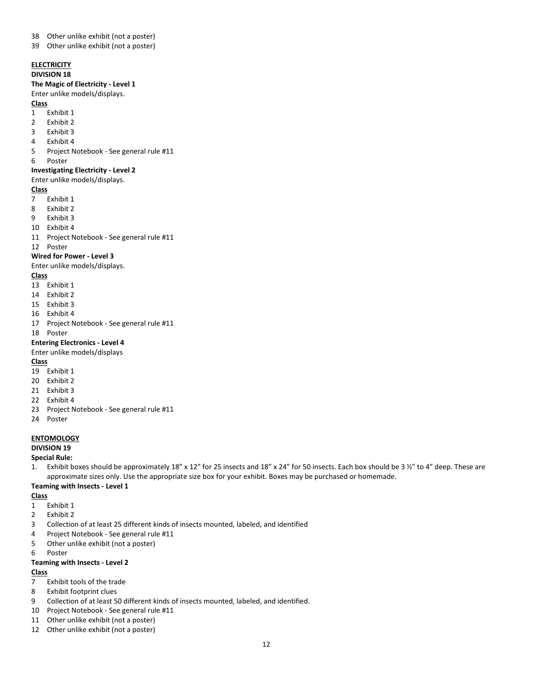- Other unlike exhibit (not a poster)
- Other unlike exhibit (not a poster)

# **ELECTRICITY**

## **DIVISION 18**

## **The Magic of Electricity - Level 1**

#### Enter unlike models/displays.

#### **Class**

- Exhibit 1
- Exhibit 2
- Exhibit 3
- Exhibit 4
- Project Notebook See general rule #11
- Poster

#### **Investigating Electricity - Level 2**

#### Enter unlike models/displays.

#### **Class**

- Exhibit 1
- Exhibit 2
- Exhibit 3
- Exhibit 4
- Project Notebook See general rule #11

Poster

#### **Wired for Power - Level 3**

Enter unlike models/displays.

#### **Class**

- Exhibit 1
- Exhibit 2
- Exhibit 3
- Exhibit 4
- Project Notebook See general rule #11

#### Poster

#### **Entering Electronics - Level 4**

Enter unlike models/displays

#### **Class**

- Exhibit 1
- Exhibit 2
- Exhibit 3
- Exhibit 4
- Project Notebook See general rule #11
- Poster

#### **ENTOMOLOGY**

#### **DIVISION 19**

**Special Rule:**

1. Exhibit boxes should be approximately 18" x 12" for 25 insects and 18" x 24" for 50 insects. Each box should be 3 ½" to 4" deep. These are approximate sizes only. Use the appropriate size box for your exhibit. Boxes may be purchased or homemade.

#### **Teaming with Insects - Level 1**

#### **Class**

- Exhibit 1
- Exhibit 2
- Collection of at least 25 different kinds of insects mounted, labeled, and identified
- Project Notebook See general rule #11
- Other unlike exhibit (not a poster)
- Poster

#### **Teaming with Insects - Level 2**

- Exhibit tools of the trade
- Exhibit footprint clues
- Collection of at least 50 different kinds of insects mounted, labeled, and identified.
- Project Notebook See general rule #11
- Other unlike exhibit (not a poster)
- Other unlike exhibit (not a poster)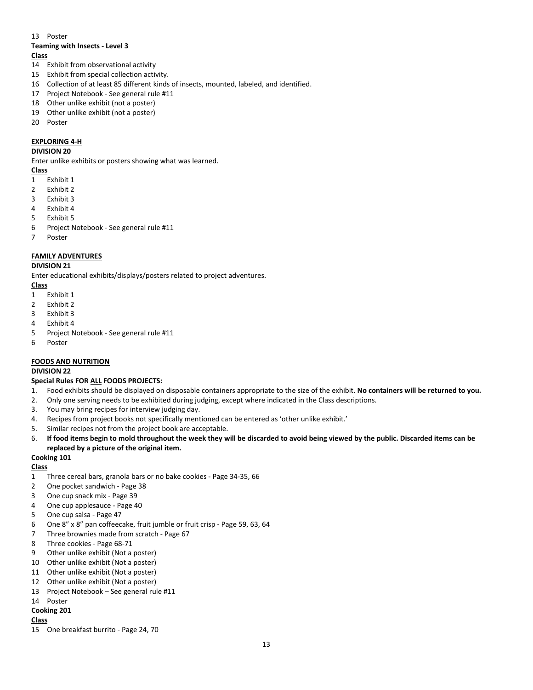#### 13 Poster

## **Teaming with Insects - Level 3**

## **Class**

- 14 Exhibit from observational activity
- 15 Exhibit from special collection activity.
- 16 Collection of at least 85 different kinds of insects, mounted, labeled, and identified.
- 17 Project Notebook See general rule #11
- 18 Other unlike exhibit (not a poster)
- 19 Other unlike exhibit (not a poster)
- 20 Poster

## **EXPLORING 4-H**

#### **DIVISION 20**

Enter unlike exhibits or posters showing what was learned.

#### **Class**

- 1 Exhibit 1
- 2 Exhibit 2
- 3 Exhibit 3
- 4 Exhibit 4
- 5 Exhibit 5
- 6 Project Notebook See general rule #11
- 7 Poster

## **FAMILY ADVENTURES**

#### **DIVISION 21**

Enter educational exhibits/displays/posters related to project adventures.

#### **Class**

- 1 Exhibit 1
- 2 Exhibit 2
- 3 Exhibit 3
- 4 Exhibit 4
- 5 Project Notebook See general rule #11
- 6 Poster

## **FOODS AND NUTRITION**

## **DIVISION 22**

## **Special Rules FOR ALL FOODS PROJECTS:**

- 1. Food exhibits should be displayed on disposable containers appropriate to the size of the exhibit. **No containers will be returned to you.**
- 2. Only one serving needs to be exhibited during judging, except where indicated in the Class descriptions.
- 3. You may bring recipes for interview judging day.
- 4. Recipes from project books not specifically mentioned can be entered as 'other unlike exhibit.'
- 5. Similar recipes not from the project book are acceptable.
- 6. **If food items begin to mold throughout the week they will be discarded to avoid being viewed by the public. Discarded items can be replaced by a picture of the original item.**

## **Cooking 101**

#### **Class**

- 1 Three cereal bars, granola bars or no bake cookies Page 34-35, 66
- 2 One pocket sandwich Page 38
- 3 One cup snack mix Page 39
- 4 One cup applesauce Page 40
- 5 One cup salsa Page 47
- 6 One 8" x 8" pan coffeecake, fruit jumble or fruit crisp Page 59, 63, 64
- 7 Three brownies made from scratch Page 67
- 8 Three cookies Page 68-71
- 9 Other unlike exhibit (Not a poster)
- 10 Other unlike exhibit (Not a poster)
- 11 Other unlike exhibit (Not a poster)
- 12 Other unlike exhibit (Not a poster)
- 13 Project Notebook See general rule #11
- 14 Poster

## **Cooking 201**

#### **Class**

15 One breakfast burrito - Page 24, 70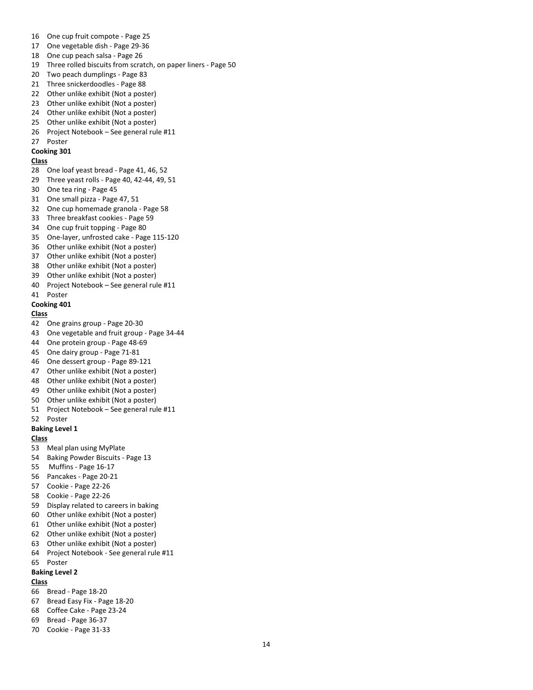- One cup fruit compote Page 25
- One vegetable dish Page 29-36
- One cup peach salsa Page 26
- Three rolled biscuits from scratch, on paper liners Page 50
- Two peach dumplings Page 83
- Three snickerdoodles Page 88
- Other unlike exhibit (Not a poster)
- Other unlike exhibit (Not a poster)
- Other unlike exhibit (Not a poster)
- Other unlike exhibit (Not a poster)
- 26 Project Notebook See general rule #11
- Poster

#### **Cooking 301**

### **Class**

- One loaf yeast bread Page 41, 46, 52
- Three yeast rolls Page 40, 42-44, 49, 51
- One tea ring Page 45
- One small pizza Page 47, 51
- One cup homemade granola Page 58
- Three breakfast cookies Page 59
- One cup fruit topping Page 80
- One-layer, unfrosted cake Page 115-120
- Other unlike exhibit (Not a poster)
- Other unlike exhibit (Not a poster)
- Other unlike exhibit (Not a poster)
- Other unlike exhibit (Not a poster)
- Project Notebook See general rule #11
- Poster

#### **Cooking 401**

#### **Class**

- One grains group Page 20-30
- One vegetable and fruit group Page 34-44
- One protein group Page 48-69
- One dairy group Page 71-81
- One dessert group Page 89-121
- Other unlike exhibit (Not a poster)
- Other unlike exhibit (Not a poster)
- Other unlike exhibit (Not a poster)
- Other unlike exhibit (Not a poster)
- Project Notebook See general rule #11

## Poster

**Baking Level 1**

## **Class**

- Meal plan using MyPlate
- Baking Powder Biscuits Page 13
- Muffins Page 16-17
- Pancakes Page 20-21
- Cookie Page 22-26
- Cookie Page 22-26
- Display related to careers in baking
- Other unlike exhibit (Not a poster)
- Other unlike exhibit (Not a poster)
- Other unlike exhibit (Not a poster)
- Other unlike exhibit (Not a poster)
- Project Notebook See general rule #11

#### Poster **Baking Level 2**

- Bread Page 18-20
- Bread Easy Fix Page 18-20
- Coffee Cake Page 23-24
- Bread Page 36-37
- Cookie Page 31-33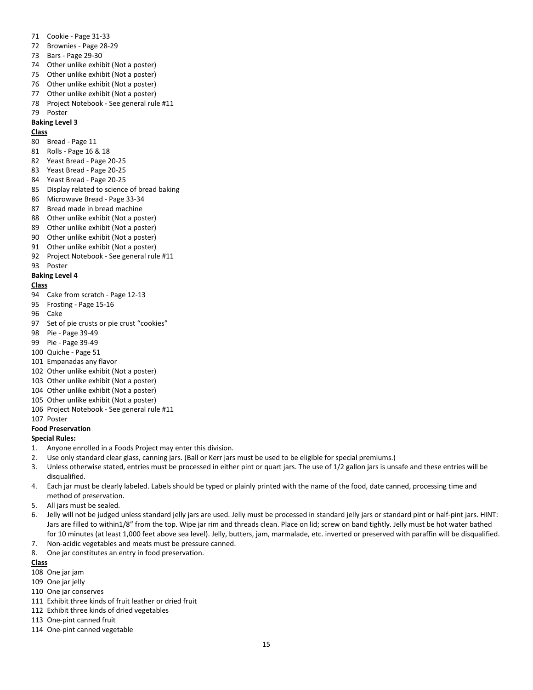- Cookie Page 31-33
- Brownies Page 28-29
- Bars Page 29-30
- Other unlike exhibit (Not a poster)
- Other unlike exhibit (Not a poster)
- Other unlike exhibit (Not a poster)
- Other unlike exhibit (Not a poster)
- Project Notebook See general rule #11
- Poster

#### **Baking Level 3**

#### **Class**

- Bread Page 11
- Rolls Page 16 & 18
- Yeast Bread Page 20-25
- Yeast Bread Page 20-25
- Yeast Bread Page 20-25
- Display related to science of bread baking
- Microwave Bread Page 33-34
- Bread made in bread machine
- Other unlike exhibit (Not a poster)
- Other unlike exhibit (Not a poster)
- Other unlike exhibit (Not a poster)
- Other unlike exhibit (Not a poster)
- Project Notebook See general rule #11
- Poster

#### **Baking Level 4**

#### **Class**

- Cake from scratch Page 12-13
- Frosting Page 15-16
- Cake
- Set of pie crusts or pie crust "cookies"
- Pie Page 39-49
- Pie Page 39-49
- Quiche Page 51
- Empanadas any flavor
- Other unlike exhibit (Not a poster)
- Other unlike exhibit (Not a poster)
- Other unlike exhibit (Not a poster)
- Other unlike exhibit (Not a poster)
- Project Notebook See general rule #11
- Poster

#### **Food Preservation**

## **Special Rules:**

- 1. Anyone enrolled in a Foods Project may enter this division.
- 2. Use only standard clear glass, canning jars. (Ball or Kerr jars must be used to be eligible for special premiums.)
- 3. Unless otherwise stated, entries must be processed in either pint or quart jars. The use of 1/2 gallon jars is unsafe and these entries will be disqualified.
- 4. Each jar must be clearly labeled. Labels should be typed or plainly printed with the name of the food, date canned, processing time and method of preservation.
- 5. All jars must be sealed.
- 6. Jelly will not be judged unless standard jelly jars are used. Jelly must be processed in standard jelly jars or standard pint or half-pint jars. HINT: Jars are filled to within1/8" from the top. Wipe jar rim and threads clean. Place on lid; screw on band tightly. Jelly must be hot water bathed for 10 minutes (at least 1,000 feet above sea level). Jelly, butters, jam, marmalade, etc. inverted or preserved with paraffin will be disqualified.
- 7. Non-acidic vegetables and meats must be pressure canned.
- 8. One jar constitutes an entry in food preservation.

- One jar jam
- One jar jelly
- One jar conserves
- Exhibit three kinds of fruit leather or dried fruit
- Exhibit three kinds of dried vegetables
- One-pint canned fruit
- One-pint canned vegetable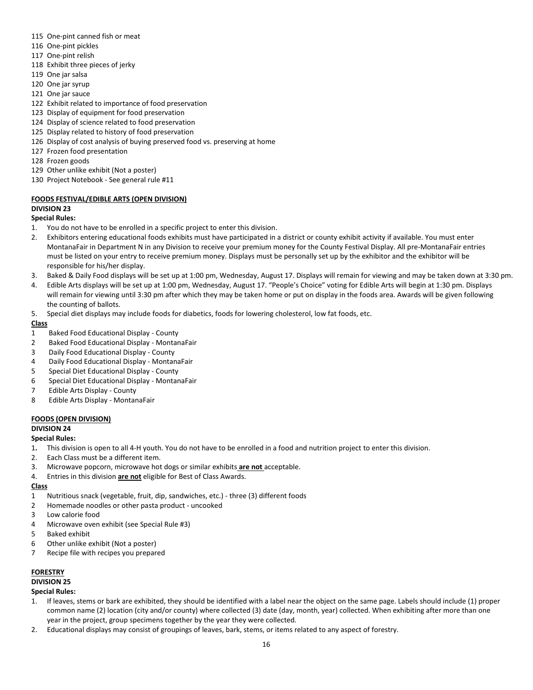- 115 One-pint canned fish or meat
- 116 One-pint pickles
- 117 One-pint relish
- 118 Exhibit three pieces of jerky
- 119 One jar salsa
- 120 One jar syrup
- 121 One jar sauce
- 122 Exhibit related to importance of food preservation
- 123 Display of equipment for food preservation
- 124 Display of science related to food preservation
- 125 Display related to history of food preservation
- 126 Display of cost analysis of buying preserved food vs. preserving at home
- 127 Frozen food presentation
- 128 Frozen goods
- 129 Other unlike exhibit (Not a poster)
- 130 Project Notebook See general rule #11

## **FOODS FESTIVAL/EDIBLE ARTS (OPEN DIVISION)**

#### **DIVISION 23**

#### **Special Rules:**

- 1. You do not have to be enrolled in a specific project to enter this division.
- 2. Exhibitors entering educational foods exhibits must have participated in a district or county exhibit activity if available. You must enter MontanaFair in Department N in any Division to receive your premium money for the County Festival Display. All pre-MontanaFair entries must be listed on your entry to receive premium money. Displays must be personally set up by the exhibitor and the exhibitor will be responsible for his/her display.
- 3. Baked & Daily Food displays will be set up at 1:00 pm, Wednesday, August 17. Displays will remain for viewing and may be taken down at 3:30 pm.
- 4. Edible Arts displays will be set up at 1:00 pm, Wednesday, August 17. "People's Choice" voting for Edible Arts will begin at 1:30 pm. Displays will remain for viewing until 3:30 pm after which they may be taken home or put on display in the foods area. Awards will be given following the counting of ballots.
- 5. Special diet displays may include foods for diabetics, foods for lowering cholesterol, low fat foods, etc.

#### **Class**

- 1 Baked Food Educational Display County
- 2 Baked Food Educational Display MontanaFair
- 3 Daily Food Educational Display County
- 4 Daily Food Educational Display MontanaFair
- 5 Special Diet Educational Display County
- 6 Special Diet Educational Display MontanaFair
- 7 Edible Arts Display County
- 8 Edible Arts Display MontanaFair

#### **FOODS (OPEN DIVISION)**

#### **DIVISION 24**

#### **Special Rules:**

- 1**.** This division is open to all 4-H youth. You do not have to be enrolled in a food and nutrition project to enter this division.
- 2. Each Class must be a different item.
- 3. Microwave popcorn, microwave hot dogs or similar exhibits **are not** acceptable.
- 4. Entries in this division **are not** eligible for Best of Class Awards.

#### **Class**

- 1 Nutritious snack (vegetable, fruit, dip, sandwiches, etc.) three (3) different foods
- 2 Homemade noodles or other pasta product uncooked
- 3 Low calorie food
- 4 Microwave oven exhibit (see Special Rule #3)
- 5 Baked exhibit
- 6 Other unlike exhibit (Not a poster)
- 7 Recipe file with recipes you prepared

#### **FORESTRY**

## **DIVISION 25**

#### **Special Rules:**

- 1. If leaves, stems or bark are exhibited, they should be identified with a label near the object on the same page. Labels should include (1) proper common name (2) location (city and/or county) where collected (3) date (day, month, year) collected. When exhibiting after more than one year in the project, group specimens together by the year they were collected.
- 2. Educational displays may consist of groupings of leaves, bark, stems, or items related to any aspect of forestry.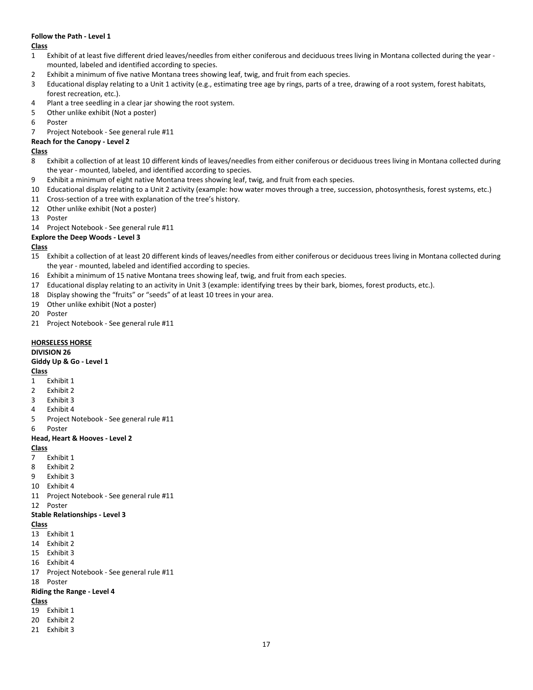#### **Follow the Path - Level 1**

**Class**

- Exhibit of at least five different dried leaves/needles from either coniferous and deciduous trees living in Montana collected during the year mounted, labeled and identified according to species.
- Exhibit a minimum of five native Montana trees showing leaf, twig, and fruit from each species.
- Educational display relating to a Unit 1 activity (e.g., estimating tree age by rings, parts of a tree, drawing of a root system, forest habitats, forest recreation, etc.).
- Plant a tree seedling in a clear jar showing the root system.
- Other unlike exhibit (Not a poster)
- Poster

Project Notebook - See general rule #11

## **Reach for the Canopy - Level 2**

#### **Class**

- 8 Exhibit a collection of at least 10 different kinds of leaves/needles from either coniferous or deciduous trees living in Montana collected during the year - mounted, labeled, and identified according to species.
- Exhibit a minimum of eight native Montana trees showing leaf, twig, and fruit from each species.
- Educational display relating to a Unit 2 activity (example: how water moves through a tree, succession, photosynthesis, forest systems, etc.)
- Cross-section of a tree with explanation of the tree's history.
- Other unlike exhibit (Not a poster)
- Poster
- Project Notebook See general rule #11

## **Explore the Deep Woods - Level 3**

## **Class**

- Exhibit a collection of at least 20 different kinds of leaves/needles from either coniferous or deciduous trees living in Montana collected during the year - mounted, labeled and identified according to species.
- Exhibit a minimum of 15 native Montana trees showing leaf, twig, and fruit from each species.
- Educational display relating to an activity in Unit 3 (example: identifying trees by their bark, biomes, forest products, etc.).
- Display showing the "fruits" or "seeds" of at least 10 trees in your area.
- Other unlike exhibit (Not a poster)
- Poster
- Project Notebook See general rule #11

## **HORSELESS HORSE**

**DIVISION 26**

#### **Giddy Up & Go - Level 1**

**Class**

- Exhibit 1
- Exhibit 2
- Exhibit 3
- Exhibit 4
- Project Notebook See general rule #11
- Poster

#### **Head, Heart & Hooves - Level 2**

**Class**

- Exhibit 1
- Exhibit 2
- Exhibit 3
- Exhibit 4
- Project Notebook See general rule #11
- Poster

### **Stable Relationships - Level 3**

#### **Class**

- Exhibit 1
- Exhibit 2
- Exhibit 3
- Exhibit 4
- Project Notebook See general rule #11
- Poster

#### **Riding the Range - Level 4**

- Exhibit 1
- Exhibit 2
- Exhibit 3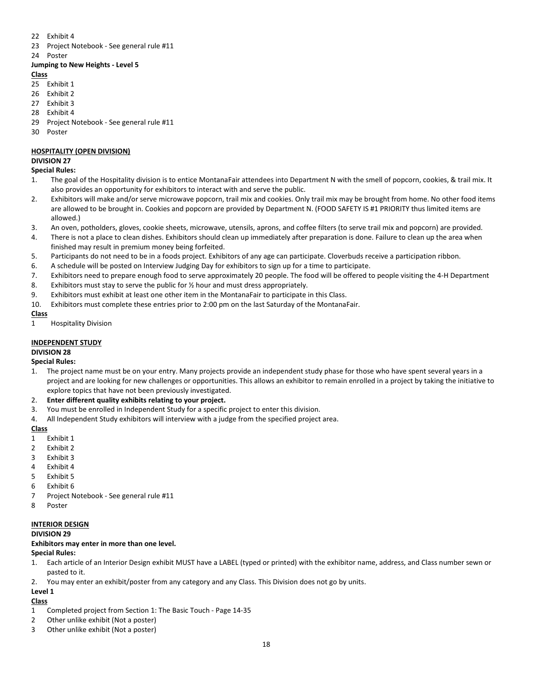- 22 Exhibit 4
- 23 Project Notebook See general rule #11
- 24 Poster

#### **Jumping to New Heights - Level 5**

#### **Class**

- 25 Exhibit 1
- 26 Exhibit 2
- 27 Exhibit 3
- 28 Exhibit 4
- 29 Project Notebook See general rule #11
- 30 Poster

## **HOSPITALITY (OPEN DIVISION)**

## **DIVISION 27**

#### **Special Rules:**

- 1. The goal of the Hospitality division is to entice MontanaFair attendees into Department N with the smell of popcorn, cookies, & trail mix. It also provides an opportunity for exhibitors to interact with and serve the public.
- 2. Exhibitors will make and/or serve microwave popcorn, trail mix and cookies. Only trail mix may be brought from home. No other food items are allowed to be brought in. Cookies and popcorn are provided by Department N. (FOOD SAFETY IS #1 PRIORITY thus limited items are allowed.)
- 3. An oven, potholders, gloves, cookie sheets, microwave, utensils, aprons, and coffee filters (to serve trail mix and popcorn) are provided.
- 4. There is not a place to clean dishes. Exhibitors should clean up immediately after preparation is done. Failure to clean up the area when finished may result in premium money being forfeited.
- 5. Participants do not need to be in a foods project. Exhibitors of any age can participate. Cloverbuds receive a participation ribbon.
- 6. A schedule will be posted on Interview Judging Day for exhibitors to sign up for a time to participate.
- 7. Exhibitors need to prepare enough food to serve approximately 20 people. The food will be offered to people visiting the 4-H Department
- 8. Exhibitors must stay to serve the public for  $\frac{1}{2}$  hour and must dress appropriately.
- 9. Exhibitors must exhibit at least one other item in the MontanaFair to participate in this Class.
- 10. Exhibitors must complete these entries prior to 2:00 pm on the last Saturday of the MontanaFair.

#### **Class**

1 Hospitality Division

## **INDEPENDENT STUDY**

## **DIVISION 28**

## **Special Rules:**

1. The project name must be on your entry. Many projects provide an independent study phase for those who have spent several years in a project and are looking for new challenges or opportunities. This allows an exhibitor to remain enrolled in a project by taking the initiative to explore topics that have not been previously investigated.

#### 2. **Enter different quality exhibits relating to your project.**

- 3. You must be enrolled in Independent Study for a specific project to enter this division.
- 4. All Independent Study exhibitors will interview with a judge from the specified project area.

#### **Class**

- 1 Exhibit 1
- 2 Exhibit 2
- 3 Exhibit 3
- 4 Exhibit 4
- 5 Exhibit 5
- 6 Exhibit 6
- 7 Project Notebook See general rule #11
- 8 Poster

#### **INTERIOR DESIGN**

#### **DIVISION 29**

**Exhibitors may enter in more than one level.**

- **Special Rules:**
- 1. Each article of an Interior Design exhibit MUST have a LABEL (typed or printed) with the exhibitor name, address, and Class number sewn or pasted to it.
- 2. You may enter an exhibit/poster from any category and any Class. This Division does not go by units.

## **Level 1**

- **Class**
- 1 Completed project from Section 1: The Basic Touch Page 14-35
- 2 Other unlike exhibit (Not a poster)
- 3 Other unlike exhibit (Not a poster)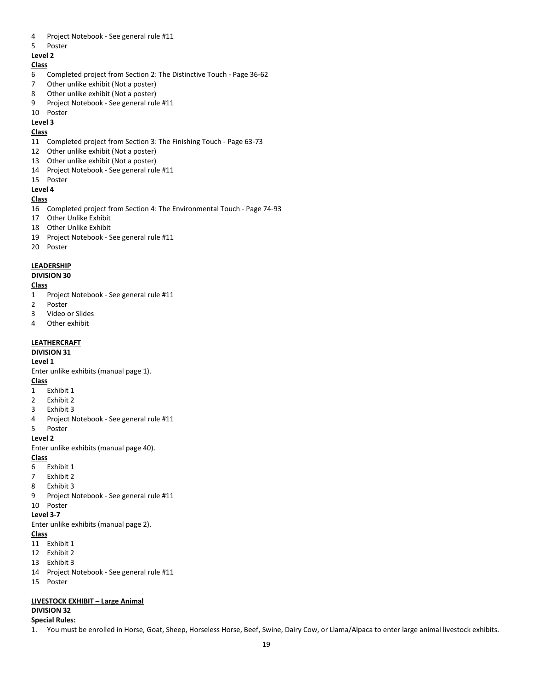- Project Notebook See general rule #11
- Poster

#### **Level 2**

#### **Class**

- Completed project from Section 2: The Distinctive Touch Page 36-62
- Other unlike exhibit (Not a poster)
- Other unlike exhibit (Not a poster)
- Project Notebook See general rule #11

#### Poster

**Level 3**

#### **Class**

- Completed project from Section 3: The Finishing Touch Page 63-73
- Other unlike exhibit (Not a poster)
- Other unlike exhibit (Not a poster)
- Project Notebook See general rule #11
- Poster

## **Level 4**

#### **Class**

- Completed project from Section 4: The Environmental Touch Page 74-93
- Other Unlike Exhibit
- Other Unlike Exhibit
- Project Notebook See general rule #11
- Poster

#### **LEADERSHIP**

#### **DIVISION 30**

#### **Class**

- Project Notebook See general rule #11
- Poster
- Video or Slides
- Other exhibit

#### **LEATHERCRAFT**

#### **DIVISION 31**

#### **Level 1**

Enter unlike exhibits (manual page 1).

#### **Class**

- Exhibit 1
- Exhibit 2
- Exhibit 3
- Project Notebook See general rule #11
- Poster

#### **Level 2**

Enter unlike exhibits (manual page 40).

#### **Class**

- Exhibit 1
- Exhibit 2
- Exhibit 3
- Project Notebook See general rule #11

#### Poster **Level 3-7**

Enter unlike exhibits (manual page 2).

#### **Class**

Exhibit 1

- Exhibit 2
- Exhibit 3
- Project Notebook See general rule #11
- Poster

## **LIVESTOCK EXHIBIT – Large Animal**

#### **DIVISION 32 Special Rules:**

1. You must be enrolled in Horse, Goat, Sheep, Horseless Horse, Beef, Swine, Dairy Cow, or Llama/Alpaca to enter large animal livestock exhibits.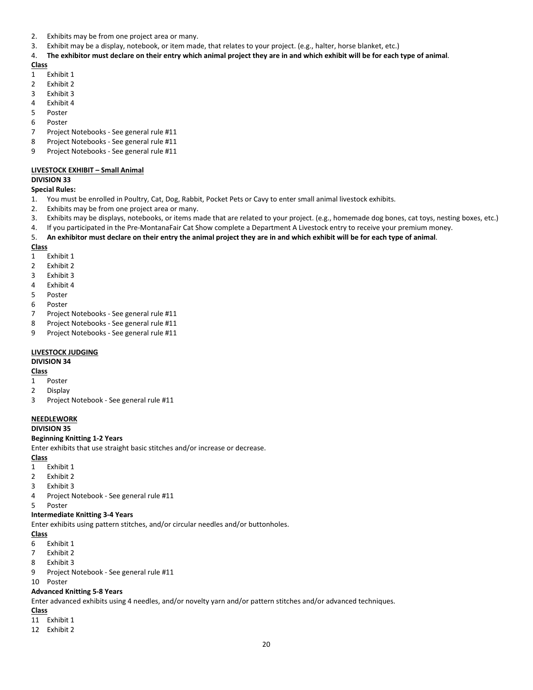- 2. Exhibits may be from one project area or many.
- 3. Exhibit may be a display, notebook, or item made, that relates to your project. (e.g., halter, horse blanket, etc.)

#### 4. **The exhibitor must declare on their entry which animal project they are in and which exhibit will be for each type of animal**.

**Class**

- 1 Exhibit 1
- 2 Exhibit 2
- 3 Exhibit 3
- 4 Exhibit 4
- 5 Poster
- 6 Poster
- 7 Project Notebooks See general rule #11
- 8 Project Notebooks See general rule #11
- 9 Project Notebooks See general rule #11

#### **LIVESTOCK EXHIBIT – Small Animal**

#### **DIVISION 33**

#### **Special Rules:**

- 1. You must be enrolled in Poultry, Cat, Dog, Rabbit, Pocket Pets or Cavy to enter small animal livestock exhibits.
- 2. Exhibits may be from one project area or many.
- 3. Exhibits may be displays, notebooks, or items made that are related to your project. (e.g., homemade dog bones, cat toys, nesting boxes, etc.)
- 4. If you participated in the Pre-MontanaFair Cat Show complete a Department A Livestock entry to receive your premium money.
- 5. **An exhibitor must declare on their entry the animal project they are in and which exhibit will be for each type of animal**.

#### **Class**

- 1 Exhibit 1
- 2 Exhibit 2
- 3 Exhibit 3
- 4 Exhibit 4
- 5 Poster
- 6 Poster
- 7 Project Notebooks See general rule #11
- 8 Project Notebooks See general rule #11
- 9 Project Notebooks See general rule #11

#### **LIVESTOCK JUDGING**

## **DIVISION 34**

## **Class**

- 1 Poster
- 2 Display
- 3 Project Notebook See general rule #11

## **NEEDLEWORK**

#### **DIVISION 35**

#### **Beginning Knitting 1-2 Years**

Enter exhibits that use straight basic stitches and/or increase or decrease.

#### **Class**

- 1 Exhibit 1
- 2 Exhibit 2
- 3 Exhibit 3
- 4 Project Notebook See general rule #11
- 5 Poster

#### **Intermediate Knitting 3-4 Years**

Enter exhibits using pattern stitches, and/or circular needles and/or buttonholes.

#### **Class**

- 6 Exhibit 1
- 7 Exhibit 2
- 8 Exhibit 3
- 9 Project Notebook See general rule #11
- 10 Poster

#### **Advanced Knitting 5-8 Years**

Enter advanced exhibits using 4 needles, and/or novelty yarn and/or pattern stitches and/or advanced techniques.

- 11 Exhibit 1
- 12 Exhibit 2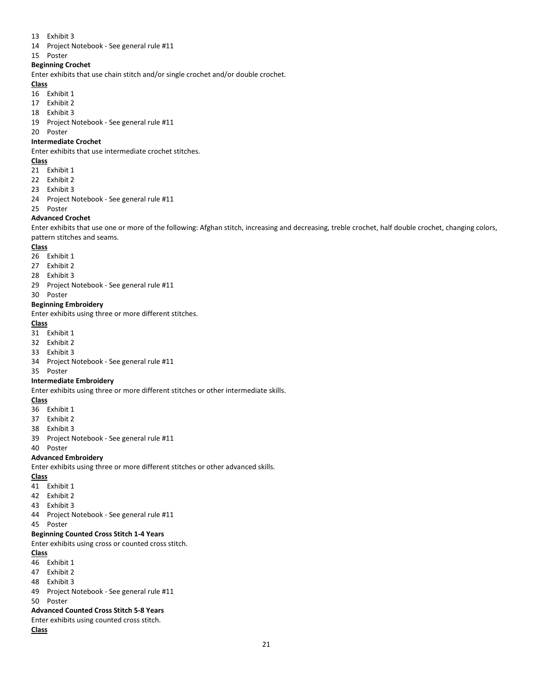- Exhibit 3
- Project Notebook See general rule #11
- Poster

## **Beginning Crochet**

Enter exhibits that use chain stitch and/or single crochet and/or double crochet.

#### **Class**

- Exhibit 1
- Exhibit 2
- Exhibit 3
- Project Notebook See general rule #11
- Poster

#### **Intermediate Crochet**

Enter exhibits that use intermediate crochet stitches.

#### **Class**

- Exhibit 1
- Exhibit 2
- Exhibit 3
- Project Notebook See general rule #11
- Poster

#### **Advanced Crochet**

Enter exhibits that use one or more of the following: Afghan stitch, increasing and decreasing, treble crochet, half double crochet, changing colors, pattern stitches and seams.

#### **Class**

- Exhibit 1
- Exhibit 2
- Exhibit 3
- Project Notebook See general rule #11
- Poster

#### **Beginning Embroidery**

Enter exhibits using three or more different stitches.

#### **Class**

- Exhibit 1
- Exhibit 2
- Exhibit 3
- Project Notebook See general rule #11
- Poster

#### **Intermediate Embroidery**

Enter exhibits using three or more different stitches or other intermediate skills.

#### **Class**

- Exhibit 1
- Exhibit 2
- Exhibit 3
- Project Notebook See general rule #11

Poster

#### **Advanced Embroidery**

Enter exhibits using three or more different stitches or other advanced skills.

## **Class**

- Exhibit 1
- Exhibit 2
- Exhibit 3
- Project Notebook See general rule #11
- Poster

#### **Beginning Counted Cross Stitch 1-4 Years**

Enter exhibits using cross or counted cross stitch.

#### **Class**

- Exhibit 1
- Exhibit 2
- Exhibit 3
- Project Notebook See general rule #11
- Poster

#### **Advanced Counted Cross Stitch 5-8 Years**

Enter exhibits using counted cross stitch.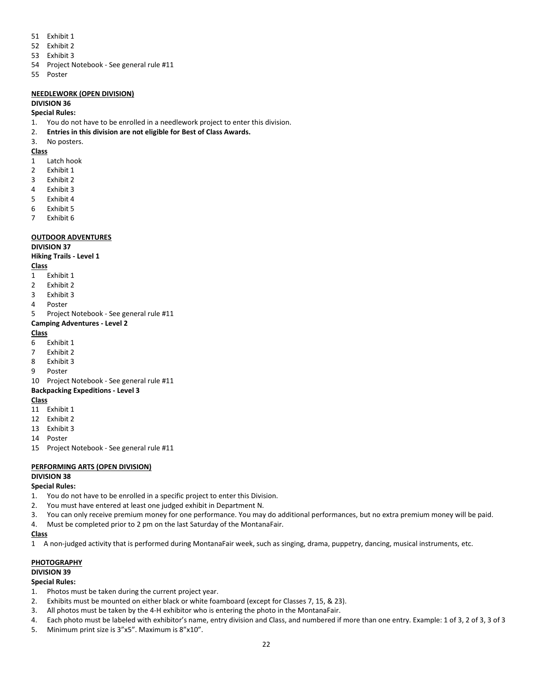- 51 Exhibit 1
- 52 Exhibit 2
- 53 Exhibit 3
- 54 Project Notebook See general rule #11
- 55 Poster

## **NEEDLEWORK (OPEN DIVISION)**

#### **DIVISION 36**

#### **Special Rules:**

- 1. You do not have to be enrolled in a needlework project to enter this division.
- 2. **Entries in this division are not eligible for Best of Class Awards.**
- 3. No posters.

#### **Class**

- 1 Latch hook
- 2 Exhibit 1
- 3 Exhibit 2
- 4 Exhibit 3
- 5 Exhibit 4
- 6 Exhibit 5
- 7 Exhibit 6

#### **OUTDOOR ADVENTURES**

## **DIVISION 37**

## **Hiking Trails - Level 1**

#### **Class**

- 1 Exhibit 1
- 2 Exhibit 2
- 3 Exhibit 3
- 4 Poster
- 5 Project Notebook See general rule #11

#### **Camping Adventures - Level 2**

#### **Class**

- 6 Exhibit 1
- 7 Exhibit 2
- 8 Exhibit 3
- 9 Poster
- 10 Project Notebook See general rule #11

#### **Backpacking Expeditions - Level 3**

#### **Class**

- 11 Exhibit 1
- 12 Exhibit 2
- 13 Exhibit 3
- 14 Poster
- 15 Project Notebook See general rule #11

## **PERFORMING ARTS (OPEN DIVISION)**

## **DIVISION 38**

- **Special Rules:**
- 1. You do not have to be enrolled in a specific project to enter this Division.
- 2. You must have entered at least one judged exhibit in Department N.
- 3. You can only receive premium money for one performance. You may do additional performances, but no extra premium money will be paid.
- 4. Must be completed prior to 2 pm on the last Saturday of the MontanaFair.

#### **Class**

1 A non-judged activity that is performed during MontanaFair week, such as singing, drama, puppetry, dancing, musical instruments, etc.

## **PHOTOGRAPHY**

## **DIVISION 39**

## **Special Rules:**

- 1. Photos must be taken during the current project year.
- 2. Exhibits must be mounted on either black or white foamboard (except for Classes 7, 15, & 23).
- 3. All photos must be taken by the 4-H exhibitor who is entering the photo in the MontanaFair.
- 4. Each photo must be labeled with exhibitor's name, entry division and Class, and numbered if more than one entry. Example: 1 of 3, 2 of 3, 3 of 3
- 5. Minimum print size is 3"x5". Maximum is 8"x10".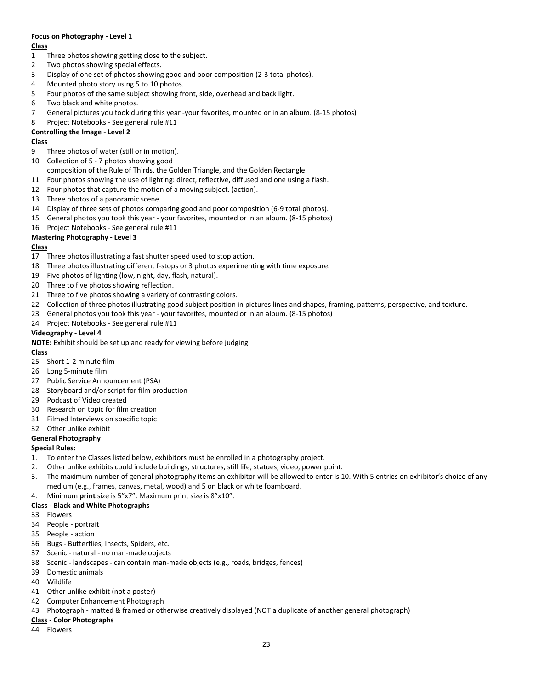## **Focus on Photography - Level 1**

#### **Class**

- Three photos showing getting close to the subject.
- Two photos showing special effects.
- Display of one set of photos showing good and poor composition (2-3 total photos).
- Mounted photo story using 5 to 10 photos.
- Four photos of the same subject showing front, side, overhead and back light.
- Two black and white photos.
- General pictures you took during this year -your favorites, mounted or in an album. (8-15 photos)
- Project Notebooks See general rule #11

## **Controlling the Image - Level 2**

### **Class**

- Three photos of water (still or in motion).
- Collection of 5 7 photos showing good
- composition of the Rule of Thirds, the Golden Triangle, and the Golden Rectangle.
- Four photos showing the use of lighting: direct, reflective, diffused and one using a flash.
- Four photos that capture the motion of a moving subject. (action).
- Three photos of a panoramic scene.
- Display of three sets of photos comparing good and poor composition (6-9 total photos).
- General photos you took this year your favorites, mounted or in an album. (8-15 photos)
- Project Notebooks See general rule #11

## **Mastering Photography - Level 3**

## **Class**

- Three photos illustrating a fast shutter speed used to stop action.
- Three photos illustrating different f-stops or 3 photos experimenting with time exposure.
- Five photos of lighting (low, night, day, flash, natural).
- 20 Three to five photos showing reflection.
- Three to five photos showing a variety of contrasting colors.
- 22 Collection of three photos illustrating good subject position in pictures lines and shapes, framing, patterns, perspective, and texture.
- General photos you took this year your favorites, mounted or in an album. (8-15 photos)
- Project Notebooks See general rule #11

## **Videography - Level 4**

**NOTE:** Exhibit should be set up and ready for viewing before judging.

#### **Class**

- Short 1-2 minute film
- Long 5-minute film
- Public Service Announcement (PSA)
- Storyboard and/or script for film production
- Podcast of Video created
- Research on topic for film creation
- Filmed Interviews on specific topic
- Other unlike exhibit

#### **General Photography**

#### **Special Rules:**

- 1. To enter the Classes listed below, exhibitors must be enrolled in a photography project.
- 2. Other unlike exhibits could include buildings, structures, still life, statues, video, power point.
- 3. The maximum number of general photography items an exhibitor will be allowed to enter is 10. With 5 entries on exhibitor's choice of any medium (e.g., frames, canvas, metal, wood) and 5 on black or white foamboard.
- 4. Minimum **print** size is 5"x7". Maximum print size is 8"x10".

#### **Class - Black and White Photographs**

## Flowers

- People portrait
- People action
- Bugs Butterflies, Insects, Spiders, etc.
- Scenic natural no man-made objects
- Scenic landscapes can contain man-made objects (e.g., roads, bridges, fences)
- Domestic animals
- Wildlife
- Other unlike exhibit (not a poster)
- Computer Enhancement Photograph
- Photograph matted & framed or otherwise creatively displayed (NOT a duplicate of another general photograph)

## **Class - Color Photographs**

Flowers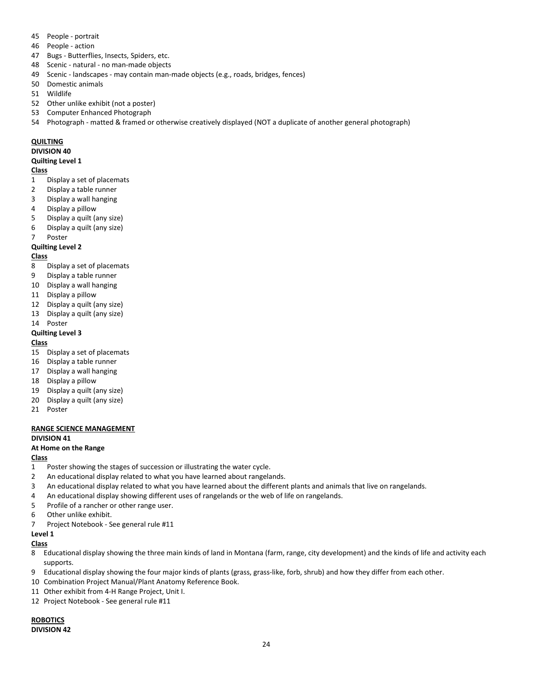- People portrait
- People action
- Bugs Butterflies, Insects, Spiders, etc.
- Scenic natural no man-made objects
- Scenic landscapes may contain man-made objects (e.g., roads, bridges, fences)
- Domestic animals
- Wildlife
- Other unlike exhibit (not a poster)
- Computer Enhanced Photograph
- Photograph matted & framed or otherwise creatively displayed (NOT a duplicate of another general photograph)

## **QUILTING**

#### **DIVISION 40**

#### **Quilting Level 1**

#### **Class**

- Display a set of placemats
- Display a table runner
- Display a wall hanging
- Display a pillow
- Display a quilt (any size)
- Display a quilt (any size)
- Poster

## **Quilting Level 2**

#### **Class**

- Display a set of placemats
- Display a table runner
- Display a wall hanging
- Display a pillow
- Display a quilt (any size)
- Display a quilt (any size)
- Poster

## **Quilting Level 3**

## **Class**

- Display a set of placemats
- Display a table runner
- Display a wall hanging
- Display a pillow
- Display a quilt (any size)
- Display a quilt (any size)
- Poster

## **RANGE SCIENCE MANAGEMENT**

## **DIVISION 41**

## **At Home on the Range**

#### **Class**

- Poster showing the stages of succession or illustrating the water cycle.
- An educational display related to what you have learned about rangelands.
- An educational display related to what you have learned about the different plants and animals that live on rangelands.
- An educational display showing different uses of rangelands or the web of life on rangelands.
- Profile of a rancher or other range user.
- Other unlike exhibit.
- Project Notebook See general rule #11

## **Level 1**

#### **Class**

- Educational display showing the three main kinds of land in Montana (farm, range, city development) and the kinds of life and activity each supports.
- Educational display showing the four major kinds of plants (grass, grass-like, forb, shrub) and how they differ from each other.
- Combination Project Manual/Plant Anatomy Reference Book.
- Other exhibit from 4-H Range Project, Unit I.
- Project Notebook See general rule #11

## **ROBOTICS DIVISION 42**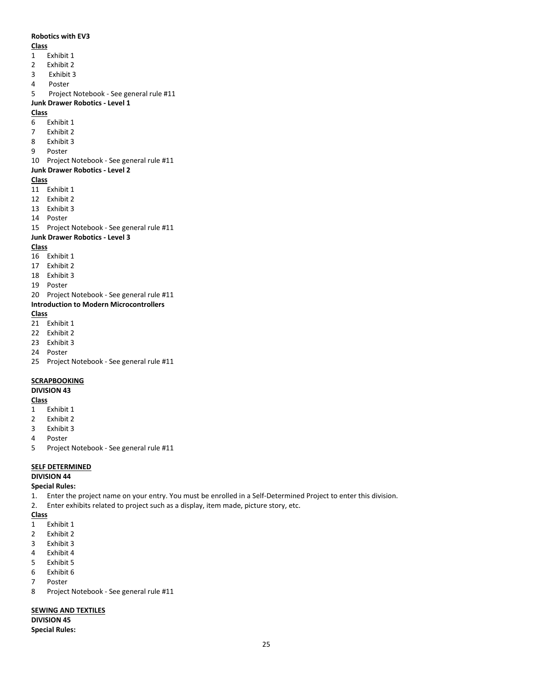#### **Robotics with EV3**

#### **Class**

- Exhibit 1
- Exhibit 2
- Exhibit 3
- Poster
- Project Notebook See general rule #11

#### **Junk Drawer Robotics - Level 1**

#### **Class**

- Exhibit 1
- Exhibit 2
- Exhibit 3
- Poster

#### Project Notebook - See general rule #11

#### **Junk Drawer Robotics - Level 2**

#### **Class**

- Exhibit 1
- Exhibit 2
- Exhibit 3
- Poster
- Project Notebook See general rule #11

#### **Junk Drawer Robotics - Level 3**

#### **Class**

- Exhibit 1
- Exhibit 2
- Exhibit 3
- Poster
- Project Notebook See general rule #11

#### **Introduction to Modern Microcontrollers**

#### **Class**

Exhibit 1

- Exhibit 2
- Exhibit 3
- Poster
- Project Notebook See general rule #11

#### **SCRAPBOOKING**

#### **DIVISION 43**

#### **Class**

- Exhibit 1
- Exhibit 2
- Exhibit 3
- Poster
- Project Notebook See general rule #11

#### **SELF DETERMINED**

## **DIVISION 44**

#### **Special Rules:**

- 1. Enter the project name on your entry. You must be enrolled in a Self-Determined Project to enter this division.
- 2. Enter exhibits related to project such as a display, item made, picture story, etc.

#### **Class**

- Exhibit 1
- Exhibit 2
- Exhibit 3
- Exhibit 4
- Exhibit 5
- Exhibit 6
- Poster
- Project Notebook See general rule #11

## **SEWING AND TEXTILES**

**DIVISION 45 Special Rules:**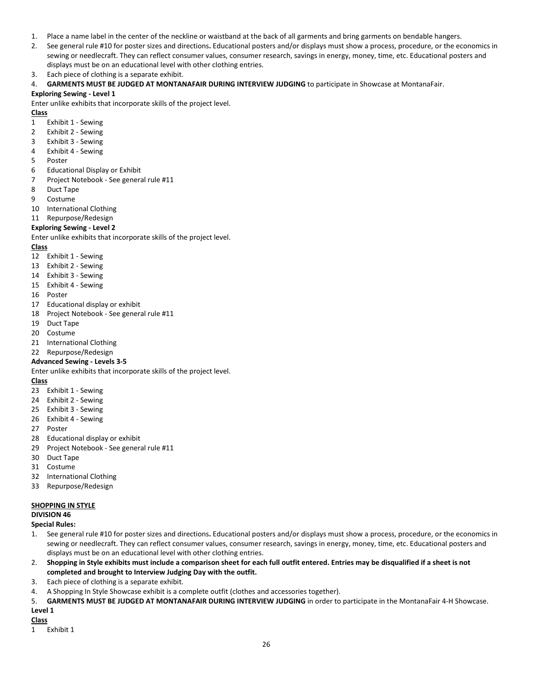- 1. Place a name label in the center of the neckline or waistband at the back of all garments and bring garments on bendable hangers.
- 2. See general rule #10 for poster sizes and directions**.** Educational posters and/or displays must show a process, procedure, or the economics in sewing or needlecraft. They can reflect consumer values, consumer research, savings in energy, money, time, etc. Educational posters and displays must be on an educational level with other clothing entries.
- 3. Each piece of clothing is a separate exhibit.
- 4. **GARMENTS MUST BE JUDGED AT MONTANAFAIR DURING INTERVIEW JUDGING** to participate in Showcase at MontanaFair.

### **Exploring Sewing - Level 1**

Enter unlike exhibits that incorporate skills of the project level.

## **Class**

- 1 Exhibit 1 Sewing
- 2 Exhibit 2 Sewing
- 3 Exhibit 3 Sewing
- 4 Exhibit 4 Sewing
- 5 Poster
- 6 Educational Display or Exhibit
- 7 Project Notebook See general rule #11
- 8 Duct Tape
- 9 Costume
- 10 International Clothing
- 11 Repurpose/Redesign

## **Exploring Sewing - Level 2**

Enter unlike exhibits that incorporate skills of the project level.

#### **Class**

- 12 Exhibit 1 Sewing
- 13 Exhibit 2 Sewing
- 14 Exhibit 3 Sewing
- 15 Exhibit 4 Sewing
- 16 Poster
- 17 Educational display or exhibit
- 18 Project Notebook See general rule #11
- 19 Duct Tape
- 20 Costume
- 21 International Clothing
- 22 Repurpose/Redesign

#### **Advanced Sewing - Levels 3-5**

Enter unlike exhibits that incorporate skills of the project level.

#### **Class**

- 23 Exhibit 1 Sewing
- 24 Exhibit 2 Sewing
- 25 Exhibit 3 Sewing
- 26 Exhibit 4 Sewing
- 27 Poster
- 28 Educational display or exhibit
- 29 Project Notebook See general rule #11
- 30 Duct Tape
- 31 Costume
- 32 International Clothing
- 33 Repurpose/Redesign

#### **SHOPPING IN STYLE**

#### **DIVISION 46**

**Special Rules:**

- 1. See general rule #10 for poster sizes and directions**.** Educational posters and/or displays must show a process, procedure, or the economics in sewing or needlecraft. They can reflect consumer values, consumer research, savings in energy, money, time, etc. Educational posters and displays must be on an educational level with other clothing entries.
- 2. **Shopping in Style exhibits must include a comparison sheet for each full outfit entered. Entries may be disqualified if a sheet is not completed and brought to Interview Judging Day with the outfit.**
- 3. Each piece of clothing is a separate exhibit.
- 4. A Shopping In Style Showcase exhibit is a complete outfit (clothes and accessories together).
- 5. **GARMENTS MUST BE JUDGED AT MONTANAFAIR DURING INTERVIEW JUDGING** in order to participate in the MontanaFair 4-H Showcase. **Level 1**

#### **Class**

1 Exhibit 1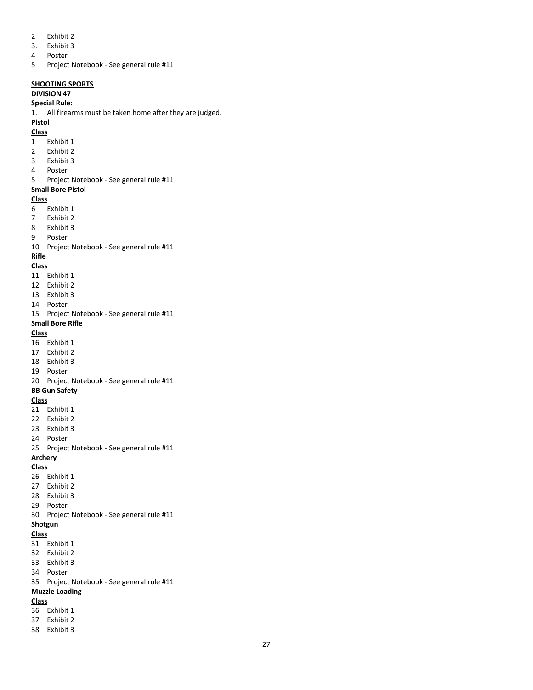- Exhibit 2
- 3. Exhibit 3
- Poster
- Project Notebook See general rule #11

#### **SHOOTING SPORTS**

#### **DIVISION 47**

#### **Special Rule:**

1. All firearms must be taken home after they are judged.

## **Pistol**

## **Class**

- Exhibit 1
- Exhibit 2
- Exhibit 3
- Poster
- Project Notebook See general rule #11

## **Small Bore Pistol**

#### **Class**

- Exhibit 1
- Exhibit 2
- Exhibit 3
- Poster

Project Notebook - See general rule #11

#### **Rifle**

#### **Class**

- Exhibit 1
- Exhibit 2
- Exhibit 3
- Poster
- Project Notebook See general rule #11

## **Small Bore Rifle**

#### **Class**

- Exhibit 1
- Exhibit 2
- Exhibit 3
- Poster
- Project Notebook See general rule #11

## **BB Gun Safety**

## **Class**

- Exhibit 1
- Exhibit 2
- Exhibit 3
- Poster
- Project Notebook See general rule #11

#### **Archery**

#### **Class**

- Exhibit 1
- Exhibit 2
- Exhibit 3
- Poster
- Project Notebook See general rule #11

#### **Shotgun**

## **Class**

- Exhibit 1
- Exhibit 2
- Exhibit 3
- Poster
- Project Notebook See general rule #11

## **Muzzle Loading**

- **Class**
- Exhibit 1 Exhibit 2
- Exhibit 3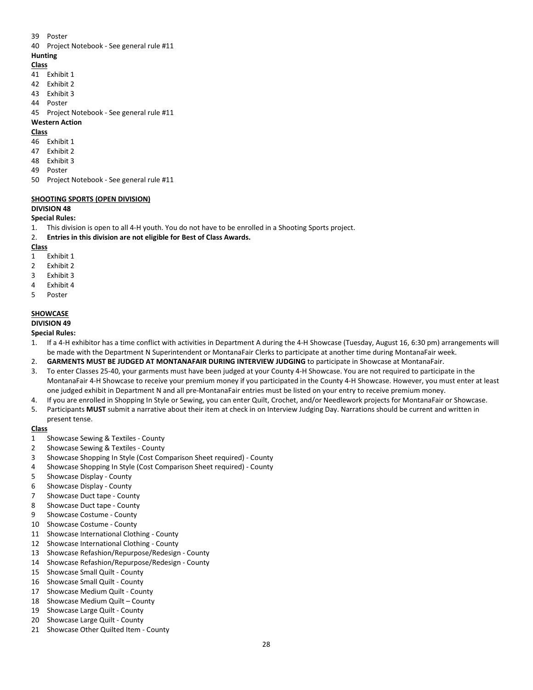- 39 Poster
- 40 Project Notebook See general rule #11

## **Hunting**

- **Class**
- 41 Exhibit 1
- 42 Exhibit 2
- 43 Exhibit 3
- 44 Poster
- 45 Project Notebook See general rule #11

#### **Western Action**

### **Class**

- 46 Exhibit 1
- 47 Exhibit 2
- 48 Exhibit 3
- 49 Poster
- 50 Project Notebook See general rule #11

## **SHOOTING SPORTS (OPEN DIVISION)**

## **DIVISION 48**

#### **Special Rules:**

- 1. This division is open to all 4-H youth. You do not have to be enrolled in a Shooting Sports project.
- 2. **Entries in this division are not eligible for Best of Class Awards.**

## **Class**

- 1 Exhibit 1
- 2 Exhibit 2
- 3 Exhibit 3
- 4 Exhibit 4
- 5 Poster

## **SHOWCASE**

## **DIVISION 49**

## **Special Rules:**

- 1. If a 4-H exhibitor has a time conflict with activities in Department A during the 4-H Showcase (Tuesday, August 16, 6:30 pm) arrangements will be made with the Department N Superintendent or MontanaFair Clerks to participate at another time during MontanaFair week.
- 2. **GARMENTS MUST BE JUDGED AT MONTANAFAIR DURING INTERVIEW JUDGING** to participate in Showcase at MontanaFair.
- 3. To enter Classes 25-40, your garments must have been judged at your County 4-H Showcase. You are not required to participate in the MontanaFair 4-H Showcase to receive your premium money if you participated in the County 4-H Showcase. However, you must enter at least one judged exhibit in Department N and all pre-MontanaFair entries must be listed on your entry to receive premium money.
- 4. If you are enrolled in Shopping In Style or Sewing, you can enter Quilt, Crochet, and/or Needlework projects for MontanaFair or Showcase.
- 5. Participants **MUST** submit a narrative about their item at check in on Interview Judging Day. Narrations should be current and written in present tense.

- 1 Showcase Sewing & Textiles County
- 2 Showcase Sewing & Textiles County
- 3 Showcase Shopping In Style (Cost Comparison Sheet required) County
- 4 Showcase Shopping In Style (Cost Comparison Sheet required) County
- 5 Showcase Display County
- 6 Showcase Display County
- 7 Showcase Duct tape County
- 8 Showcase Duct tape County
- 9 Showcase Costume County
- 10 Showcase Costume County
- 11 Showcase International Clothing County
- 12 Showcase International Clothing County
- 13 Showcase Refashion/Repurpose/Redesign County
- 14 Showcase Refashion/Repurpose/Redesign County
- 15 Showcase Small Quilt County
- 16 Showcase Small Quilt County
- 17 Showcase Medium Quilt County
- 18 Showcase Medium Quilt County
- 19 Showcase Large Quilt County
- 20 Showcase Large Quilt County
- 21 Showcase Other Quilted Item County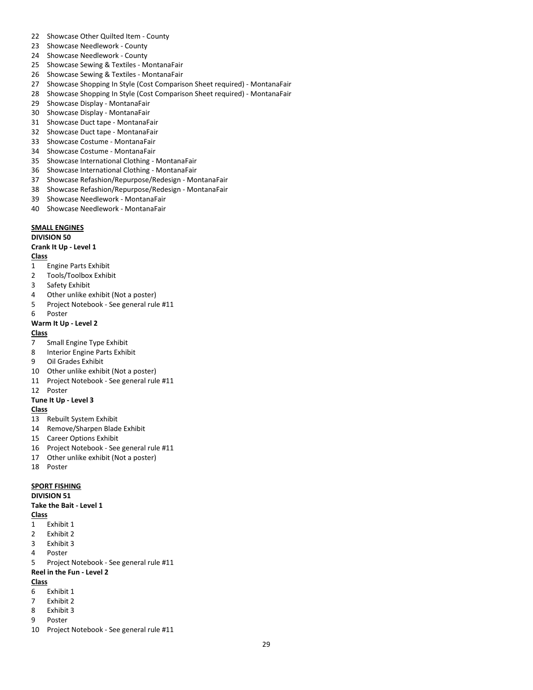- Showcase Other Quilted Item County
- Showcase Needlework County
- Showcase Needlework County
- Showcase Sewing & Textiles MontanaFair
- Showcase Sewing & Textiles MontanaFair
- Showcase Shopping In Style (Cost Comparison Sheet required) MontanaFair
- Showcase Shopping In Style (Cost Comparison Sheet required) MontanaFair
- Showcase Display MontanaFair
- Showcase Display MontanaFair
- Showcase Duct tape MontanaFair
- Showcase Duct tape MontanaFair
- Showcase Costume MontanaFair
- Showcase Costume MontanaFair
- Showcase International Clothing MontanaFair
- Showcase International Clothing MontanaFair
- Showcase Refashion/Repurpose/Redesign MontanaFair
- Showcase Refashion/Repurpose/Redesign MontanaFair
- Showcase Needlework MontanaFair
- Showcase Needlework MontanaFair

#### **SMALL ENGINES**

#### **DIVISION 50**

#### **Crank It Up - Level 1**

**Class**

- Engine Parts Exhibit
- Tools/Toolbox Exhibit
- Safety Exhibit
- Other unlike exhibit (Not a poster)
- Project Notebook See general rule #11
- Poster

#### **Warm It Up - Level 2**

#### **Class**

- Small Engine Type Exhibit
- Interior Engine Parts Exhibit
- Oil Grades Exhibit
- Other unlike exhibit (Not a poster)
- Project Notebook See general rule #11
- Poster

#### **Tune It Up - Level 3**

#### **Class**

- Rebuilt System Exhibit
- Remove/Sharpen Blade Exhibit
- Career Options Exhibit
- Project Notebook See general rule #11
- Other unlike exhibit (Not a poster)
- Poster

#### **SPORT FISHING**

#### **DIVISION 51**

#### **Take the Bait - Level 1**

#### **Class**

- Exhibit 1
- Exhibit 2
- Exhibit 3

## Poster

Project Notebook - See general rule #11

## **Reel in the Fun - Level 2**

- Exhibit 1
- Exhibit 2
- Exhibit 3
- Poster
- Project Notebook See general rule #11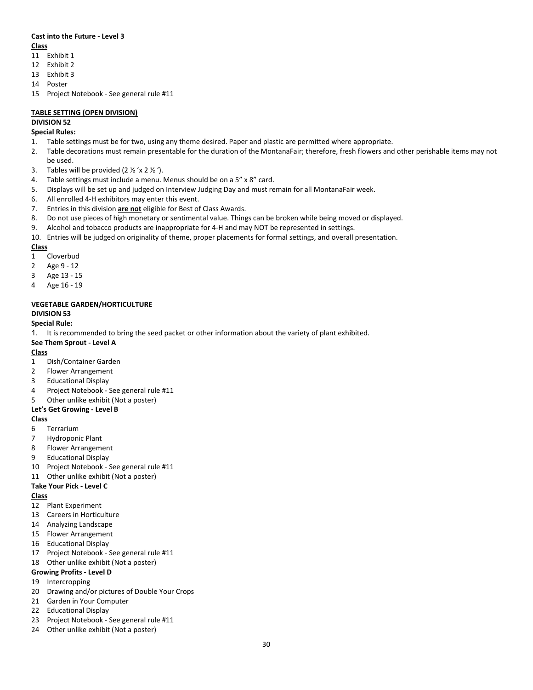#### **Cast into the Future - Level 3 Class**

- 11 Exhibit 1
- 12 Exhibit 2
- 13 Exhibit 3
- 14 Poster
- 15 Project Notebook See general rule #11

## **TABLE SETTING (OPEN DIVISION)**

## **DIVISION 52**

## **Special Rules:**

- 1. Table settings must be for two, using any theme desired. Paper and plastic are permitted where appropriate.
- 2. Table decorations must remain presentable for the duration of the MontanaFair; therefore, fresh flowers and other perishable items may not be used.
- 3. Tables will be provided  $(2 \frac{1}{2} \times 2 \frac{1}{2})$ .
- 4. Table settings must include a menu. Menus should be on a 5" x 8" card.
- 5. Displays will be set up and judged on Interview Judging Day and must remain for all MontanaFair week.
- 6. All enrolled 4-H exhibitors may enter this event.
- 7. Entries in this division **are not** eligible for Best of Class Awards.
- 8. Do not use pieces of high monetary or sentimental value. Things can be broken while being moved or displayed.
- 9. Alcohol and tobacco products are inappropriate for 4-H and may NOT be represented in settings.
- 10. Entries will be judged on originality of theme, proper placements for formal settings, and overall presentation.

## **Class**

- 1 Cloverbud
- 2 Age 9 12
- 3 Age 13 15
- 4 Age 16 19

## **VEGETABLE GARDEN/HORTICULTURE**

## **DIVISION 53**

## **Special Rule:**

1. It is recommended to bring the seed packet or other information about the variety of plant exhibited.

### **See Them Sprout - Level A**

## **Class**

- 1 Dish/Container Garden
- 2 Flower Arrangement
- 3 Educational Display
- 4 Project Notebook See general rule #11
- 5 Other unlike exhibit (Not a poster)

## **Let's Get Growing - Level B**

## **Class**

- 6 Terrarium
- 7 Hydroponic Plant
- 8 Flower Arrangement
- 9 Educational Display
- 10 Project Notebook See general rule #11
- 11 Other unlike exhibit (Not a poster)

## **Take Your Pick - Level C**

## **Class**

- 12 Plant Experiment
- 13 Careers in Horticulture
- 14 Analyzing Landscape
- 15 Flower Arrangement
- 16 Educational Display
- 17 Project Notebook See general rule #11 18 Other unlike exhibit (Not a poster)

## **Growing Profits - Level D**

- 19 Intercropping
- 20 Drawing and/or pictures of Double Your Crops
- 21 Garden in Your Computer
- 22 Educational Display
- 23 Project Notebook See general rule #11
- 24 Other unlike exhibit (Not a poster)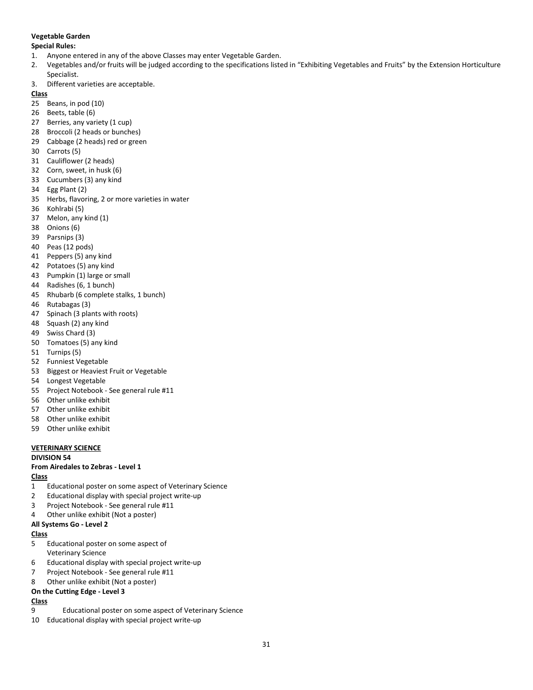## **Vegetable Garden**

#### **Special Rules:**

- 1. Anyone entered in any of the above Classes may enter Vegetable Garden.
- 2. Vegetables and/or fruits will be judged according to the specifications listed in "Exhibiting Vegetables and Fruits" by the Extension Horticulture Specialist.
- 3. Different varieties are acceptable.

## **Class**

- Beans, in pod (10)
- Beets, table (6)
- 27 Berries, any variety (1 cup)
- Broccoli (2 heads or bunches)
- Cabbage (2 heads) red or green
- Carrots (5)
- Cauliflower (2 heads)
- Corn, sweet, in husk (6)
- Cucumbers (3) any kind
- Egg Plant (2)
- Herbs, flavoring, 2 or more varieties in water
- Kohlrabi (5)
- Melon, any kind (1)
- Onions (6)
- Parsnips (3)
- Peas (12 pods)
- Peppers (5) any kind
- Potatoes (5) any kind
- Pumpkin (1) large or small
- Radishes (6, 1 bunch)
- Rhubarb (6 complete stalks, 1 bunch)
- Rutabagas (3)
- Spinach (3 plants with roots)
- Squash (2) any kind
- Swiss Chard (3)
- Tomatoes (5) any kind
- Turnips (5)
- Funniest Vegetable
- 53 Biggest or Heaviest Fruit or Vegetable
- Longest Vegetable
- Project Notebook See general rule #11
- Other unlike exhibit
- Other unlike exhibit
- Other unlike exhibit
- Other unlike exhibit

## **VETERINARY SCIENCE**

#### **DIVISION 54**

## **From Airedales to Zebras - Level 1**

## **Class**

- Educational poster on some aspect of Veterinary Science
- Educational display with special project write-up
- Project Notebook See general rule #11
- Other unlike exhibit (Not a poster)

## **All Systems Go - Level 2**

#### **Class**

- Educational poster on some aspect of Veterinary Science
- Educational display with special project write-up
- Project Notebook See general rule #11
- Other unlike exhibit (Not a poster)

## **On the Cutting Edge - Level 3**

- Educational poster on some aspect of Veterinary Science
- Educational display with special project write-up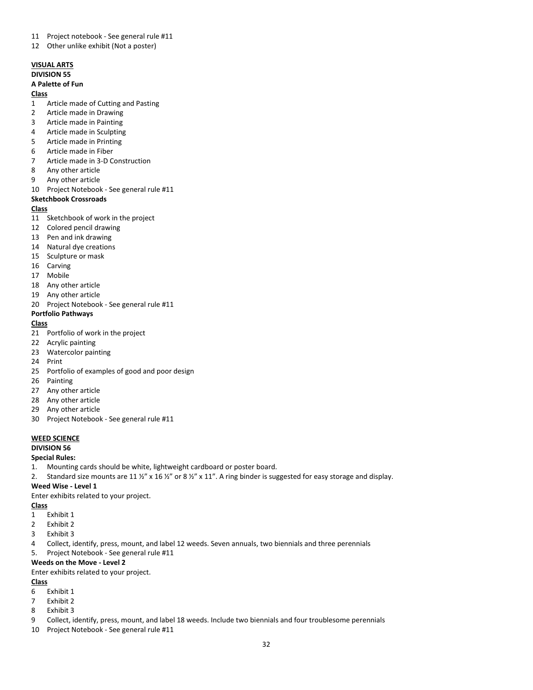- Project notebook See general rule #11
- Other unlike exhibit (Not a poster)

## **VISUAL ARTS DIVISION 55**

## **A Palette of Fun**

#### **Class**

- Article made of Cutting and Pasting
- Article made in Drawing
- Article made in Painting
- Article made in Sculpting
- Article made in Printing
- Article made in Fiber
- Article made in 3-D Construction
- Any other article
- Any other article
- Project Notebook See general rule #11

## **Sketchbook Crossroads**

#### **Class**

- Sketchbook of work in the project
- Colored pencil drawing
- Pen and ink drawing
- Natural dye creations
- Sculpture or mask
- Carving
- Mobile
- Any other article
- Any other article
- Project Notebook See general rule #11

#### **Portfolio Pathways**

#### **Class**

- Portfolio of work in the project
- Acrylic painting
- Watercolor painting
- Print
- Portfolio of examples of good and poor design
- Painting
- Any other article
- Any other article
- Any other article
- Project Notebook See general rule #11

#### **WEED SCIENCE**

## **DIVISION 56**

#### **Special Rules:**

- 1. Mounting cards should be white, lightweight cardboard or poster board.
- 2. Standard size mounts are 11  $\frac{1}{2}$  x 16  $\frac{1}{2}$  or 8  $\frac{1}{2}$  x 11". A ring binder is suggested for easy storage and display.

### **Weed Wise - Level 1**

Enter exhibits related to your project.

**Class**

- Exhibit 1
- Exhibit 2
- Exhibit 3
- Collect, identify, press, mount, and label 12 weeds. Seven annuals, two biennials and three perennials
- 5. Project Notebook See general rule #11

#### **Weeds on the Move - Level 2**

Enter exhibits related to your project.

- Exhibit 1
- Exhibit 2
- Exhibit 3
- Collect, identify, press, mount, and label 18 weeds. Include two biennials and four troublesome perennials
- Project Notebook See general rule #11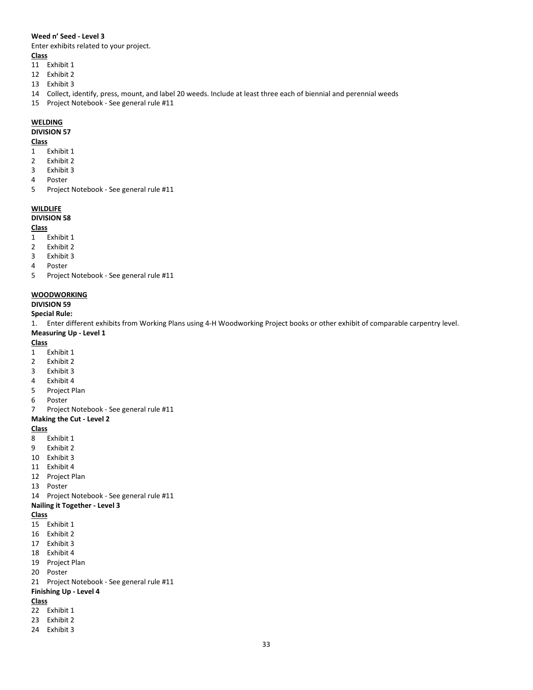#### **Weed n' Seed - Level 3**

Enter exhibits related to your project.

## **Class**

- Exhibit 1
- Exhibit 2
- Exhibit 3
- Collect, identify, press, mount, and label 20 weeds. Include at least three each of biennial and perennial weeds
- Project Notebook See general rule #11

#### **WELDING**

#### **DIVISION 57**

#### **Class**

- Exhibit 1
- Exhibit 2
- Exhibit 3
- Poster
- Project Notebook See general rule #11

#### **WILDLIFE**

#### **DIVISION 58**

#### **Class**

- Exhibit 1
- Exhibit 2
- Exhibit 3
- Poster
- Project Notebook See general rule #11

#### **WOODWORKING**

## **DIVISION 59**

## **Special Rule:**

1. Enter different exhibits from Working Plans using 4-H Woodworking Project books or other exhibit of comparable carpentry level.

#### **Measuring Up - Level 1**

## **Class**

- Exhibit 1
- Exhibit 2
- Exhibit 3
- Exhibit 4
- Project Plan
- Poster
- Project Notebook See general rule #11

## **Making the Cut - Level 2**

## **Class**

- Exhibit 1
- Exhibit 2
- Exhibit 3
- Exhibit 4
- Project Plan
- Poster
- Project Notebook See general rule #11

#### **Nailing it Together - Level 3**

#### **Class**

- Exhibit 1
- Exhibit 2
- Exhibit 3
- Exhibit 4
- Project Plan
- Poster
- Project Notebook See general rule #11

## **Finishing Up - Level 4**

- Exhibit 1
- Exhibit 2
- Exhibit 3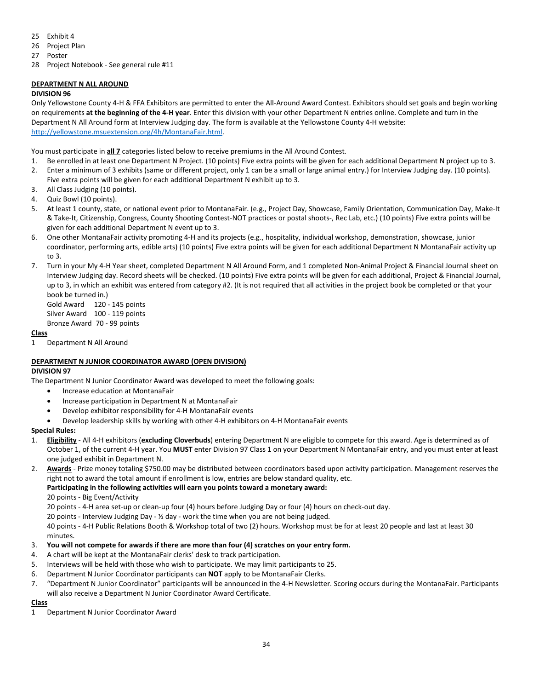- 25 Exhibit 4
- 26 Project Plan
- 27 Poster
- 28 Project Notebook See general rule #11

## **DEPARTMENT N ALL AROUND**

#### **DIVISION 96**

Only Yellowstone County 4-H & FFA Exhibitors are permitted to enter the All-Around Award Contest. Exhibitors should set goals and begin working on requirements **at the beginning of the 4-H year**. Enter this division with your other Department N entries online. Complete and turn in the Department N All Around form at Interview Judging day. The form is available at the Yellowstone County 4-H website: [http://yellowstone.msuextension.org/4h/MontanaFair.html.](http://yellowstone.msuextension.org/4h/montanafair.html)

You must participate in **all 7** categories listed below to receive premiums in the All Around Contest.

- 1. Be enrolled in at least one Department N Project. (10 points) Five extra points will be given for each additional Department N project up to 3.
- 2. Enter a minimum of 3 exhibits (same or different project, only 1 can be a small or large animal entry.) for Interview Judging day. (10 points). Five extra points will be given for each additional Department N exhibit up to 3.
- 3. All Class Judging (10 points).
- 4. Quiz Bowl (10 points).
- 5. At least 1 county, state, or national event prior to MontanaFair. (e.g., Project Day, Showcase, Family Orientation, Communication Day, Make-It & Take-It, Citizenship, Congress, County Shooting Contest-NOT practices or postal shoots-, Rec Lab, etc.) (10 points) Five extra points will be given for each additional Department N event up to 3.
- 6. One other MontanaFair activity promoting 4-H and its projects (e.g., hospitality, individual workshop, demonstration, showcase, junior coordinator, performing arts, edible arts) (10 points) Five extra points will be given for each additional Department N MontanaFair activity up to 3.
- 7. Turn in your My 4-H Year sheet, completed Department N All Around Form, and 1 completed Non-Animal Project & Financial Journal sheet on Interview Judging day. Record sheets will be checked. (10 points) Five extra points will be given for each additional, Project & Financial Journal, up to 3, in which an exhibit was entered from category #2. (It is not required that all activities in the project book be completed or that your book be turned in.)

Gold Award 120 - 145 points Silver Award 100 - 119 points Bronze Award 70 - 99 points

## **Class**

1 Department N All Around

## **DEPARTMENT N JUNIOR COORDINATOR AWARD (OPEN DIVISION)**

#### **DIVISION 97**

The Department N Junior Coordinator Award was developed to meet the following goals:

- Increase education at MontanaFair
- Increase participation in Department N at MontanaFair
- Develop exhibitor responsibility for 4-H MontanaFair events
- Develop leadership skills by working with other 4-H exhibitors on 4-H MontanaFair events

## **Special Rules:**

- 1. **Eligibility** All 4-H exhibitors (**excluding Cloverbuds**) entering Department N are eligible to compete for this award. Age is determined as of October 1, of the current 4-H year. You **MUST** enter Division 97 Class 1 on your Department N MontanaFair entry, and you must enter at least one judged exhibit in Department N.
- 2. **Awards** Prize money totaling \$750.00 may be distributed between coordinators based upon activity participation. Management reserves the right not to award the total amount if enrollment is low, entries are below standard quality, etc.

#### **Participating in the following activities will earn you points toward a monetary award:**

20 points - Big Event/Activity

20 points - 4-H area set-up or clean-up four (4) hours before Judging Day or four (4) hours on check-out day.

20 points - Interview Judging Day -  $\frac{1}{2}$  day - work the time when you are not being judged.

40 points - 4-H Public Relations Booth & Workshop total of two (2) hours. Workshop must be for at least 20 people and last at least 30 minutes.

- 3. **You will not compete for awards if there are more than four (4) scratches on your entry form.**
- 4. A chart will be kept at the MontanaFair clerks' desk to track participation.
- 5. Interviews will be held with those who wish to participate. We may limit participants to 25.
- 6. Department N Junior Coordinator participants can **NOT** apply to be MontanaFair Clerks.
- 7. "Department N Junior Coordinator" participants will be announced in the 4-H Newsletter. Scoring occurs during the MontanaFair. Participants will also receive a Department N Junior Coordinator Award Certificate.

### **Class**

1 Department N Junior Coordinator Award